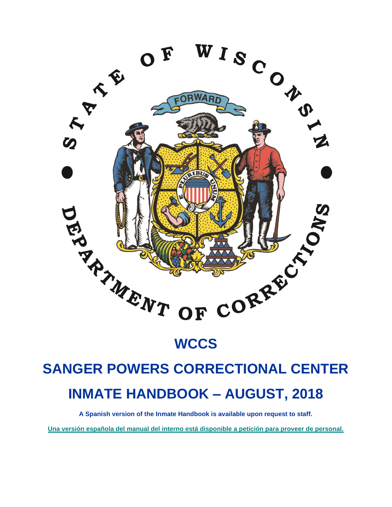

# **WCCS**

# **SANGER POWERS CORRECTIONAL CENTER INMATE HANDBOOK – AUGUST, 2018**

**A Spanish version of the Inmate Handbook is available upon request to staff.**

**Una versión española del manual del interno está disponible a petición para proveer de personal.**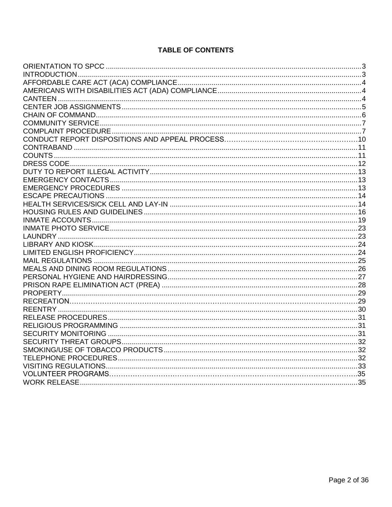# **TABLE OF CONTENTS**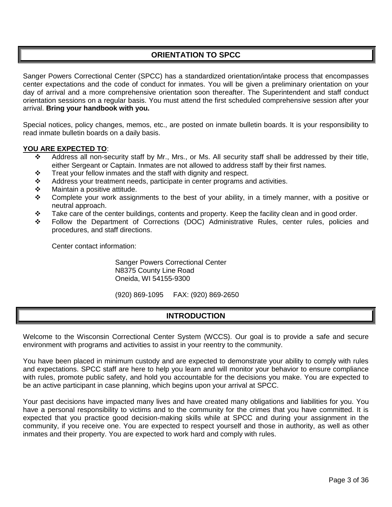# **ORIENTATION TO SPCC**

<span id="page-2-0"></span>Sanger Powers Correctional Center (SPCC) has a standardized orientation/intake process that encompasses center expectations and the code of conduct for inmates. You will be given a preliminary orientation on your day of arrival and a more comprehensive orientation soon thereafter. The Superintendent and staff conduct orientation sessions on a regular basis. You must attend the first scheduled comprehensive session after your arrival. **Bring your handbook with you.**

Special notices, policy changes, memos, etc., are posted on inmate bulletin boards. It is your responsibility to read inmate bulletin boards on a daily basis.

#### **YOU ARE EXPECTED TO**:

- $\div$  Address all non-security staff by Mr., Mrs., or Ms. All security staff shall be addressed by their title, either Sergeant or Captain. Inmates are not allowed to address staff by their first names.
- $\div$  Treat your fellow inmates and the staff with dignity and respect.
- $\div$  Address your treatment needs, participate in center programs and activities.
- **❖** Maintain a positive attitude.
- $\div$  Complete your work assignments to the best of your ability, in a timely manner, with a positive or neutral approach.
- $\cdot \cdot$  Take care of the center buildings, contents and property. Keep the facility clean and in good order.
- Follow the Department of Corrections (DOC) Administrative Rules, center rules, policies and procedures, and staff directions.

Center contact information:

Sanger Powers Correctional Center N8375 County Line Road Oneida, WI 54155-9300

(920) 869-1095 FAX: (920) 869-2650

# **INTRODUCTION**

<span id="page-2-1"></span>Welcome to the Wisconsin Correctional Center System (WCCS). Our goal is to provide a safe and secure environment with programs and activities to assist in your reentry to the community.

You have been placed in minimum custody and are expected to demonstrate your ability to comply with rules and expectations. SPCC staff are here to help you learn and will monitor your behavior to ensure compliance with rules, promote public safety, and hold you accountable for the decisions you make. You are expected to be an active participant in case planning, which begins upon your arrival at SPCC.

Your past decisions have impacted many lives and have created many obligations and liabilities for you. You have a personal responsibility to victims and to the community for the crimes that you have committed. It is expected that you practice good decision-making skills while at SPCC and during your assignment in the community, if you receive one. You are expected to respect yourself and those in authority, as well as other inmates and their property. You are expected to work hard and comply with rules.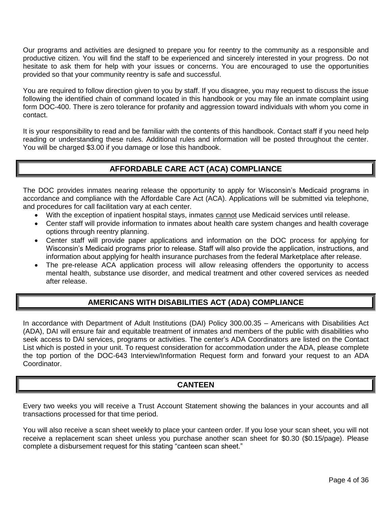Our programs and activities are designed to prepare you for reentry to the community as a responsible and productive citizen. You will find the staff to be experienced and sincerely interested in your progress. Do not hesitate to ask them for help with your issues or concerns. You are encouraged to use the opportunities provided so that your community reentry is safe and successful.

You are required to follow direction given to you by staff. If you disagree, you may request to discuss the issue following the identified chain of command located in this handbook or you may file an inmate complaint using form DOC-400. There is zero tolerance for profanity and aggression toward individuals with whom you come in contact.

It is your responsibility to read and be familiar with the contents of this handbook. Contact staff if you need help reading or understanding these rules. Additional rules and information will be posted throughout the center. You will be charged \$3.00 if you damage or lose this handbook.

# **AFFORDABLE CARE ACT (ACA) COMPLIANCE**

The DOC provides inmates nearing release the opportunity to apply for Wisconsin's Medicaid programs in accordance and compliance with the Affordable Care Act (ACA). Applications will be submitted via telephone, and procedures for call facilitation vary at each center.

- With the exception of inpatient hospital stays, inmates cannot use Medicaid services until release.
- Center staff will provide information to inmates about health care system changes and health coverage options through reentry planning.
- Center staff will provide paper applications and information on the DOC process for applying for Wisconsin's Medicaid programs prior to release. Staff will also provide the application, instructions, and information about applying for health insurance purchases from the federal Marketplace after release.
- The pre-release ACA application process will allow releasing offenders the opportunity to access mental health, substance use disorder, and medical treatment and other covered services as needed after release.

# **AMERICANS WITH DISABILITIES ACT (ADA) COMPLIANCE**

<span id="page-3-0"></span>In accordance with Department of Adult Institutions (DAI) Policy 300.00.35 – Americans with Disabilities Act (ADA), DAI will ensure fair and equitable treatment of inmates and members of the public with disabilities who seek access to DAI services, programs or activities. The center's ADA Coordinators are listed on the Contact List which is posted in your unit. To request consideration for accommodation under the ADA, please complete the top portion of the DOC-643 Interview/Information Request form and forward your request to an ADA Coordinator.

# **CANTEEN**

<span id="page-3-1"></span>Every two weeks you will receive a Trust Account Statement showing the balances in your accounts and all transactions processed for that time period.

You will also receive a scan sheet weekly to place your canteen order. If you lose your scan sheet, you will not receive a replacement scan sheet unless you purchase another scan sheet for \$0.30 (\$0.15/page). Please complete a disbursement request for this stating "canteen scan sheet."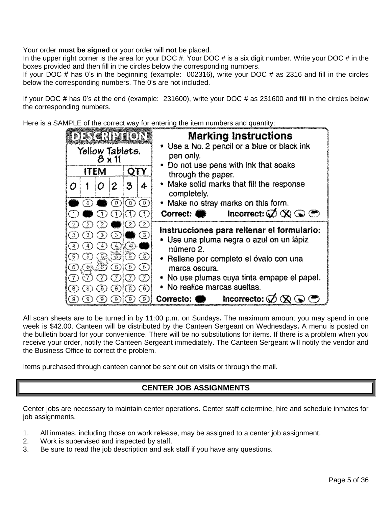Your order **must be signed** or your order will **not** be placed.

In the upper right corner is the area for your DOC  $\#$ . Your DOC  $\#$  is a six digit number. Write your DOC  $\#$  in the boxes provided and then fill in the circles below the corresponding numbers.

If your DOC # has 0's in the beginning (example: 002316), write your DOC # as 2316 and fill in the circles below the corresponding numbers. The 0's are not included.

If your DOC # has 0's at the end (example: 231600), write your DOC # as 231600 and fill in the circles below the corresponding numbers.

Here is a SAMPLE of the correct way for entering the item numbers and quantity:

| <u> EDETCHIBION</u>                                                 |                      |                      |                                   |                                     | <b>Marking Instructions</b>                                 |                                                                                              |
|---------------------------------------------------------------------|----------------------|----------------------|-----------------------------------|-------------------------------------|-------------------------------------------------------------|----------------------------------------------------------------------------------------------|
| Yellow Tablets.<br>8 x 11                                           |                      |                      |                                   |                                     | • Use a No. 2 pencil or a blue or black ink<br>pen only.    |                                                                                              |
| <b>ITEM</b><br>OTY                                                  |                      |                      |                                   |                                     | • Do not use pens with ink that soaks<br>through the paper. |                                                                                              |
| ο                                                                   |                      | 0                    | 2                                 | 3                                   | 4                                                           | • Make solid marks that fill the response<br>completely.                                     |
|                                                                     | $\ddot{0}$           |                      |                                   | (の)(の)                              | $\odot$                                                     | • Make no stray marks on this form.                                                          |
|                                                                     |                      |                      |                                   |                                     |                                                             | Incorrect: $\mathcal{Q} \otimes \mathbb{Q}$<br>Correct:                                      |
| Œ.<br>(3)                                                           | 2.<br>$\binom{3}{2}$ | 2<br>্তু)            | $\odot$                           | $_{(2)}$                            | (2)<br>(3)                                                  | Instrucciones para rellenar el formulario:<br>• Use una pluma negra o azul on un lápiz       |
| (4)<br>(3)<br>ල)                                                    | 4<br>ි)              | رة<br>(69.CF)        | (බ.බි):(ඊ)<br>ාග                  | GX 61                               | $\circledS$<br>☺                                            | número 2.<br>• Reliene por completo el óvalo con una                                         |
| $\mathfrak{r}(\overline{\mathcal{I}})$<br>$(\overline{\mathbf{g}})$ | 8)                   | $\overline{C}$<br>-8 | $\mathcal{L}(\mathcal{V})$<br>್ರಾ | $\langle \tilde{\tau} \rangle$<br>ര | $\circled{D}$<br>(8)                                        | marca oscura.<br>• No use plumas cuya tinta empape el papel.<br>• No realice marcas sueltas. |
| (ĝ                                                                  |                      |                      |                                   |                                     | E)                                                          | incorrecto: $\oslash$<br>Correcto:                                                           |

All scan sheets are to be turned in by 11:00 p.m. on Sundays**.** The maximum amount you may spend in one week is \$42.00. Canteen will be distributed by the Canteen Sergeant on Wednesdays**.** A menu is posted on the bulletin board for your convenience. There will be no substitutions for items. If there is a problem when you receive your order, notify the Canteen Sergeant immediately. The Canteen Sergeant will notify the vendor and the Business Office to correct the problem.

<span id="page-4-0"></span>Items purchased through canteen cannot be sent out on visits or through the mail.

# **CENTER JOB ASSIGNMENTS**

Center jobs are necessary to maintain center operations. Center staff determine, hire and schedule inmates for job assignments.

- 1. All inmates, including those on work release, may be assigned to a center job assignment.
- 2. Work is supervised and inspected by staff.
- 3. Be sure to read the job description and ask staff if you have any questions.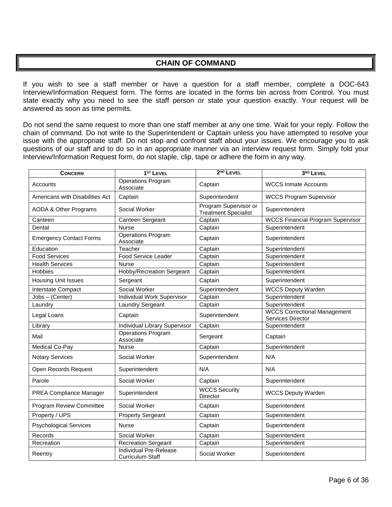# **CHAIN OF COMMAND**

<span id="page-5-0"></span>If you wish to see a staff member or have a question for a staff member, complete a DOC-643 Interview/Information Request form. The forms are located in the forms bin across from Control. You must state exactly why you need to see the staff person or state your question exactly. Your request will be answered as soon as time permits.

Do not send the same request to more than one staff member at any one time. Wait for your reply. Follow the chain of command. Do not write to the Superintendent or Captain unless you have attempted to resolve your issue with the appropriate staff. Do not stop and confront staff about your issues. We encourage you to ask questions of our staff and to do so in an appropriate manner via an interview request form. Simply fold your Interview/Information Request form, do not staple, clip, tape or adhere the form in any way.

| <b>CONCERN</b>                   | $1ST$ Level                                       | $2ND$ LEVEL                                          | 3RD LEVEL                                                |  |
|----------------------------------|---------------------------------------------------|------------------------------------------------------|----------------------------------------------------------|--|
| Accounts                         | Operations Program<br>Associate                   | Captain                                              | <b>WCCS Inmate Accounts</b>                              |  |
| Americans with Disabilities Act  | Captain                                           | Superintendent                                       | <b>WCCS Program Supervisor</b>                           |  |
| <b>AODA &amp; Other Programs</b> | Social Worker                                     | Program Supervisor or<br><b>Treatment Specialist</b> | Superintendent                                           |  |
| Canteen                          | Canteen Sergeant                                  | Captain                                              | <b>WCCS Financial Program Supervisor</b>                 |  |
| Dental                           | <b>Nurse</b>                                      | Captain                                              | Superintendent                                           |  |
| <b>Emergency Contact Forms</b>   | <b>Operations Program</b><br>Associate            | Captain                                              | Superintendent                                           |  |
| Education                        | Teacher                                           | Captain                                              | Superintendent                                           |  |
| <b>Food Services</b>             | <b>Food Service Leader</b>                        | Superintendent<br>Captain                            |                                                          |  |
| <b>Health Services</b>           | <b>Nurse</b>                                      | Captain                                              | Superintendent                                           |  |
| <b>Hobbies</b>                   | Hobby/Recreation Sergeant                         | Captain                                              | Superintendent                                           |  |
| <b>Housing Unit Issues</b>       | Sergeant                                          | Captain                                              | Superintendent                                           |  |
| Interstate Compact               | Social Worker                                     | Superintendent                                       | <b>WCCS Deputy Warden</b>                                |  |
| Jobs - (Center)                  | Individual Work Supervisor                        | Captain                                              | Superintendent                                           |  |
| Laundry                          | Laundry Sergeant                                  | Captain                                              | Superintendent                                           |  |
| Legal Loans                      | Captain                                           | Superintendent                                       | <b>WCCS Correctional Management</b><br>Services Director |  |
| Library                          | Individual Library Supervisor                     | Captain                                              | Superintendent                                           |  |
| Mail                             | <b>Operations Program</b><br>Associate            | Sergeant                                             | Captain                                                  |  |
| Medical Co-Pay                   | <b>Nurse</b>                                      | Captain                                              | Superintendent                                           |  |
| <b>Notary Services</b>           | Social Worker                                     | Superintendent                                       | N/A                                                      |  |
| Open Records Request             | Superintendent                                    | N/A                                                  | N/A                                                      |  |
| Parole                           | Social Worker                                     | Captain                                              | Superintendent                                           |  |
| PREA Compliance Manager          | Superintendent                                    | <b>WCCS Security</b><br>Director                     | <b>WCCS Deputy Warden</b>                                |  |
| <b>Program Review Committee</b>  | Social Worker                                     | Captain                                              | Superintendent                                           |  |
| Property / UPS                   | <b>Property Sergeant</b>                          | Captain                                              | Superintendent                                           |  |
| <b>Psychological Services</b>    | <b>Nurse</b>                                      | Captain                                              | Superintendent                                           |  |
| Records                          | Social Worker                                     | Captain                                              | Superintendent                                           |  |
| Recreation                       | <b>Recreation Sergeant</b>                        | Captain                                              | Superintendent                                           |  |
| Reentry                          | Individual Pre-Release<br><b>Curriculum Staff</b> | Social Worker                                        | Superintendent                                           |  |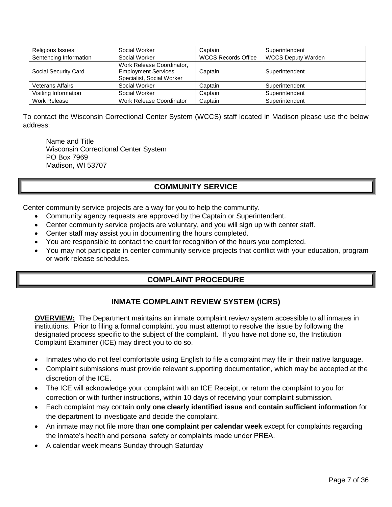| Religious Issues        | Social Worker                                                                        | Captain | Superintendent            |  |
|-------------------------|--------------------------------------------------------------------------------------|---------|---------------------------|--|
| Sentencing Information  | Social Worker<br><b>WCCS Records Office</b>                                          |         | <b>WCCS Deputy Warden</b> |  |
| Social Security Card    | Work Release Coordinator,<br><b>Employment Services</b><br>Specialist, Social Worker | Captain | Superintendent            |  |
| <b>Veterans Affairs</b> | Social Worker                                                                        | Captain | Superintendent            |  |
| Visiting Information    | Social Worker                                                                        | Captain | Superintendent            |  |
| Work Release            | Work Release Coordinator                                                             | Captain | Superintendent            |  |

To contact the Wisconsin Correctional Center System (WCCS) staff located in Madison please use the below address:

Name and Title Wisconsin Correctional Center System PO Box 7969 Madison, WI 53707

# **COMMUNITY SERVICE**

<span id="page-6-0"></span>Center community service projects are a way for you to help the community.

- Community agency requests are approved by the Captain or Superintendent.
- Center community service projects are voluntary, and you will sign up with center staff.
- Center staff may assist you in documenting the hours completed.
- You are responsible to contact the court for recognition of the hours you completed.
- <span id="page-6-1"></span> You may not participate in center community service projects that conflict with your education, program or work release schedules.

# **COMPLAINT PROCEDURE**

# **INMATE COMPLAINT REVIEW SYSTEM (ICRS)**

**OVERVIEW:** The Department maintains an inmate complaint review system accessible to all inmates in institutions. Prior to filing a formal complaint, you must attempt to resolve the issue by following the designated process specific to the subject of the complaint. If you have not done so, the Institution Complaint Examiner (ICE) may direct you to do so.

- Inmates who do not feel comfortable using English to file a complaint may file in their native language.
- Complaint submissions must provide relevant supporting documentation, which may be accepted at the discretion of the ICE.
- The ICE will acknowledge your complaint with an ICE Receipt, or return the complaint to you for correction or with further instructions, within 10 days of receiving your complaint submission.
- Each complaint may contain **only one clearly identified issue** and **contain sufficient information** for the department to investigate and decide the complaint.
- An inmate may not file more than **one complaint per calendar week** except for complaints regarding the inmate's health and personal safety or complaints made under PREA.
- A calendar week means Sunday through Saturday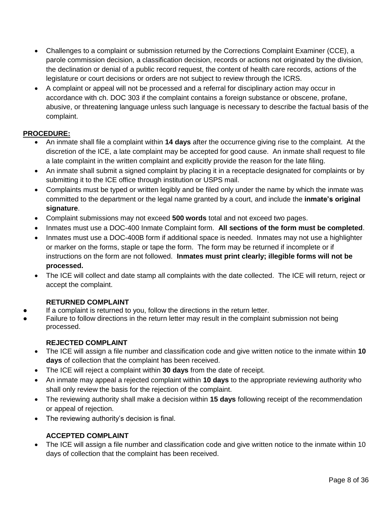- Challenges to a complaint or submission returned by the Corrections Complaint Examiner (CCE), a parole commission decision, a classification decision, records or actions not originated by the division, the declination or denial of a public record request, the content of health care records, actions of the legislature or court decisions or orders are not subject to review through the ICRS.
- A complaint or appeal will not be processed and a referral for disciplinary action may occur in accordance with ch. DOC 303 if the complaint contains a foreign substance or obscene, profane, abusive, or threatening language unless such language is necessary to describe the factual basis of the complaint.

# **PROCEDURE:**

- An inmate shall file a complaint within **14 days** after the occurrence giving rise to the complaint. At the discretion of the ICE, a late complaint may be accepted for good cause. An inmate shall request to file a late complaint in the written complaint and explicitly provide the reason for the late filing.
- An inmate shall submit a signed complaint by placing it in a receptacle designated for complaints or by submitting it to the ICE office through institution or USPS mail.
- Complaints must be typed or written legibly and be filed only under the name by which the inmate was committed to the department or the legal name granted by a court, and include the **inmate's original signature**.
- Complaint submissions may not exceed **500 words** total and not exceed two pages.
- Inmates must use a DOC-400 Inmate Complaint form. **All sections of the form must be completed**.
- Inmates must use a DOC-400B form if additional space is needed. Inmates may not use a highlighter or marker on the forms, staple or tape the form. The form may be returned if incomplete or if instructions on the form are not followed. **Inmates must print clearly; illegible forms will not be processed.**
- The ICE will collect and date stamp all complaints with the date collected. The ICE will return, reject or accept the complaint.

# **RETURNED COMPLAINT**

- If a complaint is returned to you, follow the directions in the return letter.
- Failure to follow directions in the return letter may result in the complaint submission not being processed.

# **REJECTED COMPLAINT**

- The ICE will assign a file number and classification code and give written notice to the inmate within **10 days** of collection that the complaint has been received.
- The ICE will reject a complaint within **30 days** from the date of receipt.
- An inmate may appeal a rejected complaint within **10 days** to the appropriate reviewing authority who shall only review the basis for the rejection of the complaint.
- The reviewing authority shall make a decision within **15 days** following receipt of the recommendation or appeal of rejection.
- The reviewing authority's decision is final.

# **ACCEPTED COMPLAINT**

• The ICE will assign a file number and classification code and give written notice to the inmate within 10 days of collection that the complaint has been received.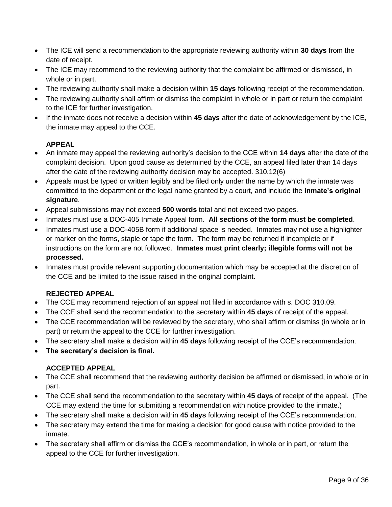- The ICE will send a recommendation to the appropriate reviewing authority within **30 days** from the date of receipt.
- The ICE may recommend to the reviewing authority that the complaint be affirmed or dismissed, in whole or in part.
- The reviewing authority shall make a decision within **15 days** following receipt of the recommendation.
- The reviewing authority shall affirm or dismiss the complaint in whole or in part or return the complaint to the ICE for further investigation.
- If the inmate does not receive a decision within **45 days** after the date of acknowledgement by the ICE, the inmate may appeal to the CCE.

# **APPEAL**

- An inmate may appeal the reviewing authority's decision to the CCE within **14 days** after the date of the complaint decision. Upon good cause as determined by the CCE, an appeal filed later than 14 days after the date of the reviewing authority decision may be accepted. 310.12(6)
- Appeals must be typed or written legibly and be filed only under the name by which the inmate was committed to the department or the legal name granted by a court, and include the **inmate's original signature**.
- Appeal submissions may not exceed **500 words** total and not exceed two pages.
- Inmates must use a DOC-405 Inmate Appeal form. **All sections of the form must be completed**.
- Inmates must use a DOC-405B form if additional space is needed. Inmates may not use a highlighter or marker on the forms, staple or tape the form. The form may be returned if incomplete or if instructions on the form are not followed. **Inmates must print clearly; illegible forms will not be processed.**
- Inmates must provide relevant supporting documentation which may be accepted at the discretion of the CCE and be limited to the issue raised in the original complaint.

# **REJECTED APPEAL**

- The CCE may recommend rejection of an appeal not filed in accordance with s. DOC 310.09.
- The CCE shall send the recommendation to the secretary within **45 days** of receipt of the appeal.
- The CCE recommendation will be reviewed by the secretary, who shall affirm or dismiss (in whole or in part) or return the appeal to the CCE for further investigation.
- The secretary shall make a decision within **45 days** following receipt of the CCE's recommendation.
- **The secretary's decision is final.**

# **ACCEPTED APPEAL**

- The CCE shall recommend that the reviewing authority decision be affirmed or dismissed, in whole or in part.
- The CCE shall send the recommendation to the secretary within **45 days** of receipt of the appeal. (The CCE may extend the time for submitting a recommendation with notice provided to the inmate.)
- The secretary shall make a decision within **45 days** following receipt of the CCE's recommendation.
- The secretary may extend the time for making a decision for good cause with notice provided to the inmate.
- The secretary shall affirm or dismiss the CCE's recommendation, in whole or in part, or return the appeal to the CCE for further investigation.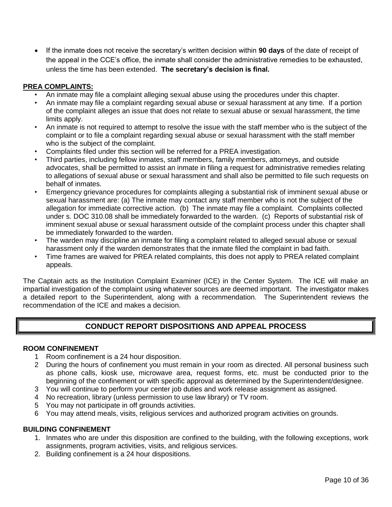If the inmate does not receive the secretary's written decision within **90 days** of the date of receipt of the appeal in the CCE's office, the inmate shall consider the administrative remedies to be exhausted, unless the time has been extended. **The secretary's decision is final.**

# **PREA COMPLAINTS:**

- An inmate may file a complaint alleging sexual abuse using the procedures under this chapter.
- An inmate may file a complaint regarding sexual abuse or sexual harassment at any time. If a portion of the complaint alleges an issue that does not relate to sexual abuse or sexual harassment, the time limits apply.
- An inmate is not required to attempt to resolve the issue with the staff member who is the subject of the complaint or to file a complaint regarding sexual abuse or sexual harassment with the staff member who is the subject of the complaint.
- Complaints filed under this section will be referred for a PREA investigation.
- Third parties, including fellow inmates, staff members, family members, attorneys, and outside advocates, shall be permitted to assist an inmate in filing a request for administrative remedies relating to allegations of sexual abuse or sexual harassment and shall also be permitted to file such requests on behalf of inmates.
- Emergency grievance procedures for complaints alleging a substantial risk of imminent sexual abuse or sexual harassment are: (a) The inmate may contact any staff member who is not the subject of the allegation for immediate corrective action. (b) The inmate may file a complaint. Complaints collected under s. DOC 310.08 shall be immediately forwarded to the warden. (c) Reports of substantial risk of imminent sexual abuse or sexual harassment outside of the complaint process under this chapter shall be immediately forwarded to the warden.
- The warden may discipline an inmate for filing a complaint related to alleged sexual abuse or sexual harassment only if the warden demonstrates that the inmate filed the complaint in bad faith.
- Time frames are waived for PREA related complaints, this does not apply to PREA related complaint appeals.

The Captain acts as the Institution Complaint Examiner (ICE) in the Center System. The ICE will make an impartial investigation of the complaint using whatever sources are deemed important. The investigator makes a detailed report to the Superintendent, along with a recommendation. The Superintendent reviews the recommendation of the ICE and makes a decision.

# **CONDUCT REPORT DISPOSITIONS AND APPEAL PROCESS**

# **ROOM CONFINEMENT**

- 1 Room confinement is a 24 hour disposition.
- 2 During the hours of confinement you must remain in your room as directed. All personal business such as phone calls, kiosk use, microwave area, request forms, etc. must be conducted prior to the beginning of the confinement or with specific approval as determined by the Superintendent/designee.
- 3 You will continue to perform your center job duties and work release assignment as assigned.
- 4 No recreation, library (unless permission to use law library) or TV room.
- 5 You may not participate in off grounds activities.
- 6 You may attend meals, visits, religious services and authorized program activities on grounds.

## **BUILDING CONFINEMENT**

- 1. Inmates who are under this disposition are confined to the building, with the following exceptions, work assignments, program activities, visits, and religious services.
- 2. Building confinement is a 24 hour dispositions.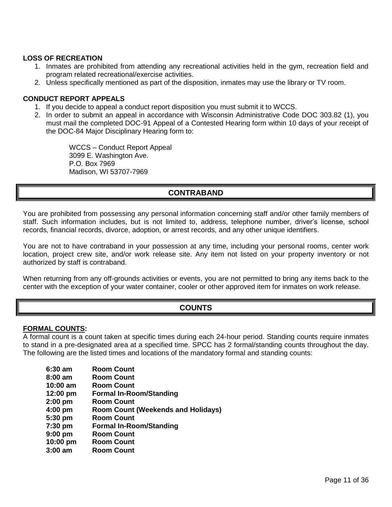#### **LOSS OF RECREATION**

- 1. Inmates are prohibited from attending any recreational activities held in the gym, recreation field and program related recreational/exercise activities.
- 2. Unless specifically mentioned as part of the disposition, inmates may use the library or TV room.

#### **CONDUCT REPORT APPEALS**

- 1. If you decide to appeal a conduct report disposition you must submit it to WCCS.
- 2. In order to submit an appeal in accordance with Wisconsin Administrative Code DOC 303.82 (1), you must mail the completed DOC-91 Appeal of a Contested Hearing form within 10 days of your receipt of the DOC-84 Major Disciplinary Hearing form to:

WCCS – Conduct Report Appeal 3099 E. Washington Ave. P.O. Box 7969 Madison, WI 53707-7969

# **CONTRABAND**

<span id="page-10-0"></span>You are prohibited from possessing any personal information concerning staff and/or other family members of staff. Such information includes, but is not limited to, address, telephone number, driver's license, school records, financial records, divorce, adoption, or arrest records, and any other unique identifiers.

You are not to have contraband in your possession at any time, including your personal rooms, center work location, project crew site, and/or work release site. Any item not listed on your property inventory or not authorized by staff is contraband.

<span id="page-10-1"></span>When returning from any off-grounds activities or events, you are not permitted to bring any items back to the center with the exception of your water container, cooler or other approved item for inmates on work release.

# **COUNTS**

#### **FORMAL COUNTS:**

A formal count is a count taken at specific times during each 24-hour period. Standing counts require inmates to stand in a pre-designated area at a specified time. SPCC has 2 formal/standing counts throughout the day. The following are the listed times and locations of the mandatory formal and standing counts:

| <b>Room Count</b>                         |
|-------------------------------------------|
| <b>Room Count</b>                         |
| <b>Room Count</b>                         |
| <b>Formal In-Room/Standing</b>            |
| <b>Room Count</b>                         |
| <b>Room Count (Weekends and Holidays)</b> |
| <b>Room Count</b>                         |
| <b>Formal In-Room/Standing</b>            |
| <b>Room Count</b>                         |
| <b>Room Count</b>                         |
| <b>Room Count</b>                         |
|                                           |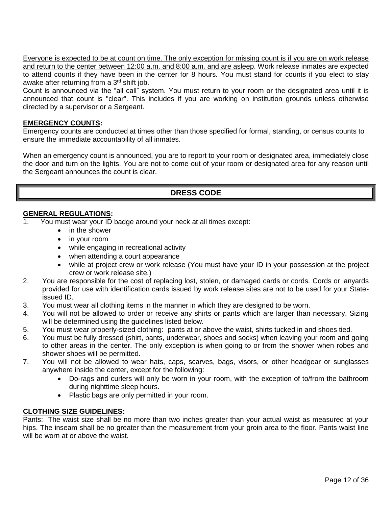Everyone is expected to be at count on time. The only exception for missing count is if you are on work release and return to the center between 12:00 a.m. and 8:00 a.m. and are asleep. Work release inmates are expected to attend counts if they have been in the center for 8 hours. You must stand for counts if you elect to stay awake after returning from a 3<sup>rd</sup> shift job.

Count is announced via the "all call" system. You must return to your room or the designated area until it is announced that count is "clear". This includes if you are working on institution grounds unless otherwise directed by a supervisor or a Sergeant.

## **EMERGENCY COUNTS:**

Emergency counts are conducted at times other than those specified for formal, standing, or census counts to ensure the immediate accountability of all inmates.

When an emergency count is announced, you are to report to your room or designated area, immediately close the door and turn on the lights. You are not to come out of your room or designated area for any reason until the Sergeant announces the count is clear.

# **DRESS CODE**

## <span id="page-11-0"></span>**GENERAL REGULATIONS:**

- 1. You must wear your ID badge around your neck at all times except:
	- in the shower
	- in your room
	- while engaging in recreational activity
	- when attending a court appearance
	- while at project crew or work release (You must have your ID in your possession at the project crew or work release site.)
- 2. You are responsible for the cost of replacing lost, stolen, or damaged cards or cords. Cords or lanyards provided for use with identification cards issued by work release sites are not to be used for your Stateissued ID.
- 3. You must wear all clothing items in the manner in which they are designed to be worn.
- 4. You will not be allowed to order or receive any shirts or pants which are larger than necessary. Sizing will be determined using the guidelines listed below.
- 5. You must wear properly-sized clothing: pants at or above the waist, shirts tucked in and shoes tied.
- 6. You must be fully dressed (shirt, pants, underwear, shoes and socks) when leaving your room and going to other areas in the center. The only exception is when going to or from the shower when robes and shower shoes will be permitted.
- 7. You will not be allowed to wear hats, caps, scarves, bags, visors, or other headgear or sunglasses anywhere inside the center, except for the following:
	- Do-rags and curlers will only be worn in your room, with the exception of to/from the bathroom during nighttime sleep hours.
	- Plastic bags are only permitted in your room.

## **CLOTHING SIZE GUIDELINES:**

Pants: The waist size shall be no more than two inches greater than your actual waist as measured at your hips. The inseam shall be no greater than the measurement from your groin area to the floor. Pants waist line will be worn at or above the waist.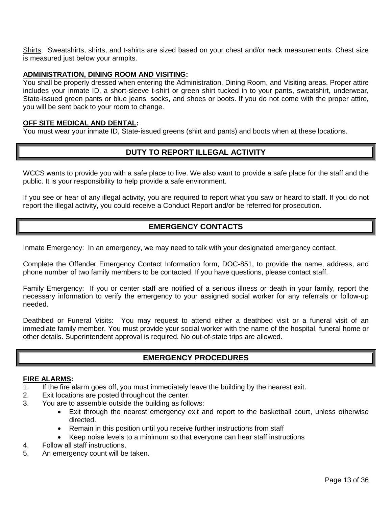Shirts: Sweatshirts, shirts, and t-shirts are sized based on your chest and/or neck measurements. Chest size is measured just below your armpits.

#### **ADMINISTRATION, DINING ROOM AND VISITING:**

You shall be properly dressed when entering the Administration, Dining Room, and Visiting areas. Proper attire includes your inmate ID, a short-sleeve t-shirt or green shirt tucked in to your pants, sweatshirt, underwear, State-issued green pants or blue jeans, socks, and shoes or boots. If you do not come with the proper attire, you will be sent back to your room to change.

#### **OFF SITE MEDICAL AND DENTAL:**

<span id="page-12-0"></span>You must wear your inmate ID, State-issued greens (shirt and pants) and boots when at these locations.

# **DUTY TO REPORT ILLEGAL ACTIVITY**

WCCS wants to provide you with a safe place to live. We also want to provide a safe place for the staff and the public. It is your responsibility to help provide a safe environment.

<span id="page-12-1"></span>If you see or hear of any illegal activity, you are required to report what you saw or heard to staff. If you do not report the illegal activity, you could receive a Conduct Report and/or be referred for prosecution.

# **EMERGENCY CONTACTS**

Inmate Emergency: In an emergency, we may need to talk with your designated emergency contact.

Complete the Offender Emergency Contact Information form, DOC-851, to provide the name, address, and phone number of two family members to be contacted. If you have questions, please contact staff.

Family Emergency: If you or center staff are notified of a serious illness or death in your family, report the necessary information to verify the emergency to your assigned social worker for any referrals or follow-up needed.

Deathbed or Funeral Visits: You may request to attend either a deathbed visit or a funeral visit of an immediate family member. You must provide your social worker with the name of the hospital, funeral home or other details. Superintendent approval is required. No out-of-state trips are allowed.

# **EMERGENCY PROCEDURES**

#### <span id="page-12-2"></span>**FIRE ALARMS:**

- 1. If the fire alarm goes off, you must immediately leave the building by the nearest exit.
- 2. Exit locations are posted throughout the center.
- 3. You are to assemble outside the building as follows:
	- Exit through the nearest emergency exit and report to the basketball court, unless otherwise directed.
	- Remain in this position until you receive further instructions from staff
	- Keep noise levels to a minimum so that everyone can hear staff instructions
- 4. Follow all staff instructions.
- 5. An emergency count will be taken.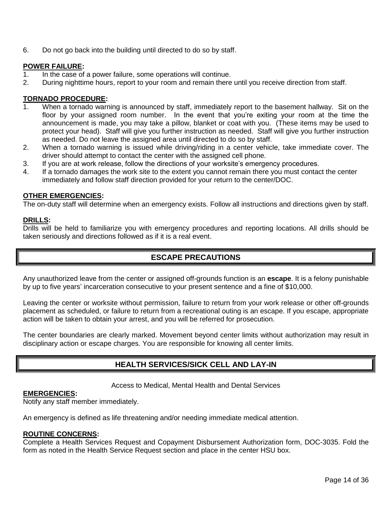6. Do not go back into the building until directed to do so by staff.

## **POWER FAILURE:**

- 1. In the case of a power failure, some operations will continue.
- 2. During nighttime hours, report to your room and remain there until you receive direction from staff.

#### **TORNADO PROCEDURE:**

- When a tornado warning is announced by staff, immediately report to the basement hallway. Sit on the floor by your assigned room number. In the event that you're exiting your room at the time the announcement is made, you may take a pillow, blanket or coat with you. (These items may be used to protect your head). Staff will give you further instruction as needed. Staff will give you further instruction as needed. Do not leave the assigned area until directed to do so by staff.
- 2. When a tornado warning is issued while driving/riding in a center vehicle, take immediate cover. The driver should attempt to contact the center with the assigned cell phone.
- 3. If you are at work release, follow the directions of your worksite's emergency procedures.
- 4. If a tornado damages the work site to the extent you cannot remain there you must contact the center immediately and follow staff direction provided for your return to the center/DOC.

#### **OTHER EMERGENCIES:**

The on-duty staff will determine when an emergency exists. Follow all instructions and directions given by staff.

#### **DRILLS:**

<span id="page-13-0"></span>Drills will be held to familiarize you with emergency procedures and reporting locations. All drills should be taken seriously and directions followed as if it is a real event.

## **ESCAPE PRECAUTIONS**

Any unauthorized leave from the center or assigned off-grounds function is an **escape**. It is a felony punishable by up to five years' incarceration consecutive to your present sentence and a fine of \$10,000.

Leaving the center or worksite without permission, failure to return from your work release or other off-grounds placement as scheduled, or failure to return from a recreational outing is an escape. If you escape, appropriate action will be taken to obtain your arrest, and you will be referred for prosecution.

<span id="page-13-1"></span>The center boundaries are clearly marked. Movement beyond center limits without authorization may result in disciplinary action or escape charges. You are responsible for knowing all center limits.

# **HEALTH SERVICES/SICK CELL AND LAY-IN**

Access to Medical, Mental Health and Dental Services

#### **EMERGENCIES:**

Notify any staff member immediately.

An emergency is defined as life threatening and/or needing immediate medical attention.

#### **ROUTINE CONCERNS:**

Complete a Health Services Request and Copayment Disbursement Authorization form, DOC-3035. Fold the form as noted in the Health Service Request section and place in the center HSU box.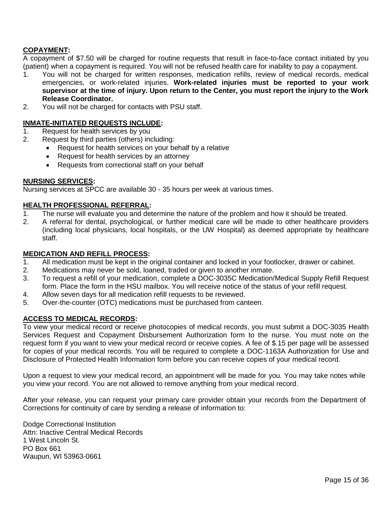## **COPAYMENT:**

A copayment of \$7.50 will be charged for routine requests that result in face-to-face contact initiated by you (patient) when a copayment is required. You will not be refused health care for inability to pay a copayment.

- 1. You will not be charged for written responses, medication refills, review of medical records, medical emergencies, or work-related injuries. **Work-related injuries must be reported to your work supervisor at the time of injury. Upon return to the Center, you must report the injury to the Work Release Coordinator.**
- 2. You will not be charged for contacts with PSU staff.

#### **INMATE-INITIATED REQUESTS INCLUDE:**

- 1. Request for health services by you
- 2. Request by third parties (others) including:
	- Request for health services on your behalf by a relative
	- Request for health services by an attorney
	- Requests from correctional staff on your behalf

#### **NURSING SERVICES:**

Nursing services at SPCC are available 30 - 35 hours per week at various times.

#### **HEALTH PROFESSIONAL REFERRAL:**

- 1. The nurse will evaluate you and determine the nature of the problem and how it should be treated.
- 2. A referral for dental, psychological, or further medical care will be made to other healthcare providers (including local physicians, local hospitals, or the UW Hospital) as deemed appropriate by healthcare staff.

#### **MEDICATION AND REFILL PROCESS:**

- 1. All medication must be kept in the original container and locked in your footlocker, drawer or cabinet.
- 2. Medications may never be sold, loaned, traded or given to another inmate.
- 3. To request a refill of your medication, complete a DOC-3035C Medication/Medical Supply Refill Request form. Place the form in the HSU mailbox. You will receive notice of the status of your refill request.
- 4. Allow seven days for all medication refill requests to be reviewed.
- 5. Over-the-counter (OTC) medications must be purchased from canteen.

## **ACCESS TO MEDICAL RECORDS:**

To view your medical record or receive photocopies of medical records, you must submit a DOC-3035 Health Services Request and Copayment Disbursement Authorization form to the nurse. You must note on the request form if you want to view your medical record or receive copies. A fee of \$.15 per page will be assessed for copies of your medical records. You will be required to complete a DOC-1163A Authorization for Use and Disclosure of Protected Health Information form before you can receive copies of your medical record.

Upon a request to view your medical record, an appointment will be made for you. You may take notes while you view your record. You are not allowed to remove anything from your medical record.

After your release, you can request your primary care provider obtain your records from the Department of Corrections for continuity of care by sending a release of information to:

Dodge Correctional Institution Attn: Inactive Central Medical Records 1 West Lincoln St. PO Box 661 Waupun, WI 53963-0661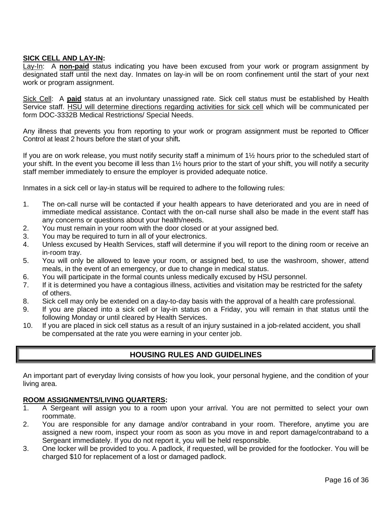## **SICK CELL AND LAY-IN:**

Lay-In: A **non-paid** status indicating you have been excused from your work or program assignment by designated staff until the next day. Inmates on lay-in will be on room confinement until the start of your next work or program assignment.

Sick Cell: A **paid** status at an involuntary unassigned rate. Sick cell status must be established by Health Service staff. HSU will determine directions regarding activities for sick cell which will be communicated per form DOC-3332B Medical Restrictions/ Special Needs.

Any illness that prevents you from reporting to your work or program assignment must be reported to Officer Control at least 2 hours before the start of your shift**.**

If you are on work release, you must notify security staff a minimum of 1½ hours prior to the scheduled start of your shift. In the event you become ill less than 1½ hours prior to the start of your shift, you will notify a security staff member immediately to ensure the employer is provided adequate notice.

Inmates in a sick cell or lay-in status will be required to adhere to the following rules:

- 1. The on-call nurse will be contacted if your health appears to have deteriorated and you are in need of immediate medical assistance. Contact with the on-call nurse shall also be made in the event staff has any concerns or questions about your health/needs.
- 2. You must remain in your room with the door closed or at your assigned bed.
- 3. You may be required to turn in all of your electronics.
- 4. Unless excused by Health Services, staff will determine if you will report to the dining room or receive an in-room tray.
- 5. You will only be allowed to leave your room, or assigned bed, to use the washroom, shower, attend meals, in the event of an emergency, or due to change in medical status.
- 6. You will participate in the formal counts unless medically excused by HSU personnel.
- 7. If it is determined you have a contagious illness, activities and visitation may be restricted for the safety of others.
- 8. Sick cell may only be extended on a day-to-day basis with the approval of a health care professional.
- 9. If you are placed into a sick cell or lay-in status on a Friday, you will remain in that status until the following Monday or until cleared by Health Services.
- <span id="page-15-0"></span>10. If you are placed in sick cell status as a result of an injury sustained in a job-related accident, you shall be compensated at the rate you were earning in your center job.

# **HOUSING RULES AND GUIDELINES**

An important part of everyday living consists of how you look, your personal hygiene, and the condition of your living area.

## **ROOM ASSIGNMENTS/LIVING QUARTERS:**

- 1. A Sergeant will assign you to a room upon your arrival. You are not permitted to select your own roommate.
- 2. You are responsible for any damage and/or contraband in your room. Therefore, anytime you are assigned a new room, inspect your room as soon as you move in and report damage/contraband to a Sergeant immediately. If you do not report it, you will be held responsible.
- 3. One locker will be provided to you. A padlock, if requested, will be provided for the footlocker. You will be charged \$10 for replacement of a lost or damaged padlock.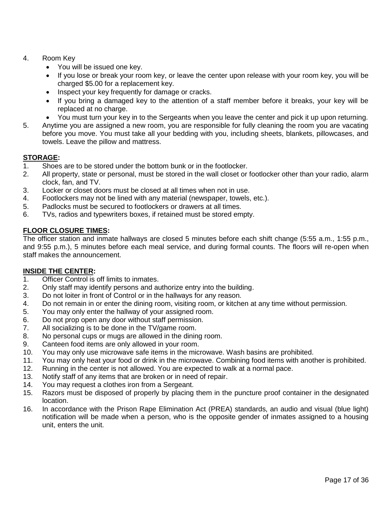- 4. Room Key
	- You will be issued one key.
	- If you lose or break your room key, or leave the center upon release with your room key, you will be charged \$5.00 for a replacement key.
	- Inspect your key frequently for damage or cracks.
	- If you bring a damaged key to the attention of a staff member before it breaks, your key will be replaced at no charge.
	- You must turn your key in to the Sergeants when you leave the center and pick it up upon returning.
- 5. Anytime you are assigned a new room, you are responsible for fully cleaning the room you are vacating before you move. You must take all your bedding with you, including sheets, blankets, pillowcases, and towels. Leave the pillow and mattress.

## **STORAGE:**

- 1. Shoes are to be stored under the bottom bunk or in the footlocker.
- 2. All property, state or personal, must be stored in the wall closet or footlocker other than your radio, alarm clock, fan, and TV.
- 3. Locker or closet doors must be closed at all times when not in use.
- 4. Footlockers may not be lined with any material (newspaper, towels, etc.).
- 5. Padlocks must be secured to footlockers or drawers at all times.
- 6. TVs, radios and typewriters boxes, if retained must be stored empty.

## **FLOOR CLOSURE TIMES:**

The officer station and inmate hallways are closed 5 minutes before each shift change (5:55 a.m., 1:55 p.m., and 9:55 p.m.), 5 minutes before each meal service, and during formal counts. The floors will re-open when staff makes the announcement.

## **INSIDE THE CENTER:**

- 1. Officer Control is off limits to inmates.
- 2. Only staff may identify persons and authorize entry into the building.
- 3. Do not loiter in front of Control or in the hallways for any reason.
- 4. Do not remain in or enter the dining room, visiting room, or kitchen at any time without permission.
- 5. You may only enter the hallway of your assigned room.
- 6. Do not prop open any door without staff permission.
- 7. All socializing is to be done in the TV/game room.
- 8. No personal cups or mugs are allowed in the dining room.
- 9. Canteen food items are only allowed in your room.
- 10. You may only use microwave safe items in the microwave. Wash basins are prohibited.
- 11. You may only heat your food or drink in the microwave. Combining food items with another is prohibited.
- 12. Running in the center is not allowed. You are expected to walk at a normal pace.
- 13. Notify staff of any items that are broken or in need of repair.
- 14. You may request a clothes iron from a Sergeant.
- 15. Razors must be disposed of properly by placing them in the puncture proof container in the designated location.
- 16. In accordance with the Prison Rape Elimination Act (PREA) standards, an audio and visual (blue light) notification will be made when a person, who is the opposite gender of inmates assigned to a housing unit, enters the unit.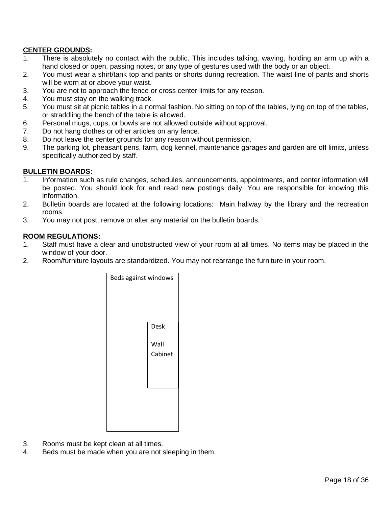## **CENTER GROUNDS:**

- 1. There is absolutely no contact with the public. This includes talking, waving, holding an arm up with a hand closed or open, passing notes, or any type of gestures used with the body or an object.
- 2. You must wear a shirt/tank top and pants or shorts during recreation. The waist line of pants and shorts will be worn at or above your waist.
- 3. You are not to approach the fence or cross center limits for any reason.
- 4. You must stay on the walking track.
- 5. You must sit at picnic tables in a normal fashion. No sitting on top of the tables, lying on top of the tables, or straddling the bench of the table is allowed.
- 6. Personal mugs, cups, or bowls are not allowed outside without approval.
- 7. Do not hang clothes or other articles on any fence.
- 8. Do not leave the center grounds for any reason without permission.
- 9. The parking lot, pheasant pens, farm, dog kennel, maintenance garages and garden are off limits, unless specifically authorized by staff.

#### **BULLETIN BOARDS:**

- 1. Information such as rule changes, schedules, announcements, appointments, and center information will be posted. You should look for and read new postings daily. You are responsible for knowing this information.
- 2. Bulletin boards are located at the following locations: Main hallway by the library and the recreation rooms.
- 3. You may not post, remove or alter any material on the bulletin boards.

#### **ROOM REGULATIONS:**

- 1. Staff must have a clear and unobstructed view of your room at all times. No items may be placed in the window of your door.
- 2. Room/furniture layouts are standardized. You may not rearrange the furniture in your room.



- 3. Rooms must be kept clean at all times.
- 4. Beds must be made when you are not sleeping in them.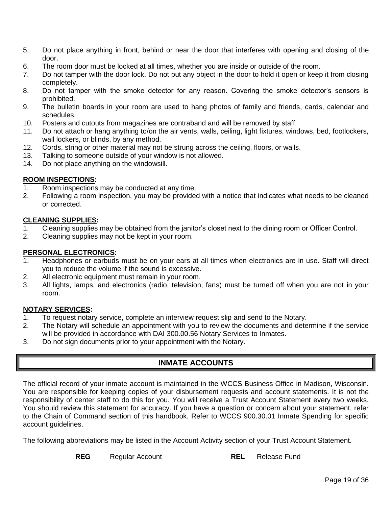- 5. Do not place anything in front, behind or near the door that interferes with opening and closing of the door.
- 6. The room door must be locked at all times, whether you are inside or outside of the room.
- 7. Do not tamper with the door lock. Do not put any object in the door to hold it open or keep it from closing completely.
- 8. Do not tamper with the smoke detector for any reason. Covering the smoke detector's sensors is prohibited.
- 9. The bulletin boards in your room are used to hang photos of family and friends, cards, calendar and schedules.
- 10. Posters and cutouts from magazines are contraband and will be removed by staff.
- 11. Do not attach or hang anything to/on the air vents, walls, ceiling, light fixtures, windows, bed, footlockers, wall lockers, or blinds, by any method.
- 12. Cords, string or other material may not be strung across the ceiling, floors, or walls.
- 13. Talking to someone outside of your window is not allowed.
- 14. Do not place anything on the windowsill.

## **ROOM INSPECTIONS:**

- 1. Room inspections may be conducted at any time.
- 2. Following a room inspection, you may be provided with a notice that indicates what needs to be cleaned or corrected.

## **CLEANING SUPPLIES:**

- 1. Cleaning supplies may be obtained from the janitor's closet next to the dining room or Officer Control.
- 2. Cleaning supplies may not be kept in your room.

## **PERSONAL ELECTRONICS:**

- 1. Headphones or earbuds must be on your ears at all times when electronics are in use. Staff will direct you to reduce the volume if the sound is excessive.
- 2. All electronic equipment must remain in your room.
- 3. All lights, lamps, and electronics (radio, television, fans) must be turned off when you are not in your room.

## **NOTARY SERVICES:**

- 1. To request notary service, complete an interview request slip and send to the Notary.
- 2. The Notary will schedule an appointment with you to review the documents and determine if the service will be provided in accordance with DAI 300.00.56 Notary Services to Inmates.
- <span id="page-18-0"></span>3. Do not sign documents prior to your appointment with the Notary.

# **INMATE ACCOUNTS**

The official record of your inmate account is maintained in the WCCS Business Office in Madison, Wisconsin. You are responsible for keeping copies of your disbursement requests and account statements. It is not the responsibility of center staff to do this for you. You will receive a Trust Account Statement every two weeks. You should review this statement for accuracy. If you have a question or concern about your statement, refer to the Chain of Command section of this handbook. Refer to WCCS 900.30.01 Inmate Spending for specific account quidelines.

The following abbreviations may be listed in the Account Activity section of your Trust Account Statement.

**REG** Regular Account **REL** Release Fund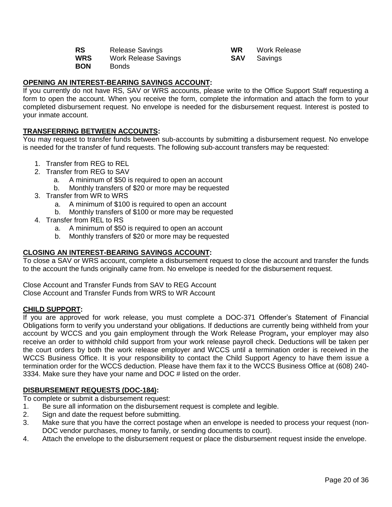| <b>RS</b>  | <b>Release Savings</b> | <b>WR</b> | <b>Work Release</b> |
|------------|------------------------|-----------|---------------------|
| WRS        | Work Release Savings   |           | <b>SAV</b> Savings  |
| <b>BON</b> | <b>Bonds</b>           |           |                     |

| ΝR  | <b>Work Release</b> |
|-----|---------------------|
| SAV | Savings             |

# **OPENING AN INTEREST-BEARING SAVINGS ACCOUNT:**

If you currently do not have RS, SAV or WRS accounts, please write to the Office Support Staff requesting a form to open the account. When you receive the form, complete the information and attach the form to your completed disbursement request. No envelope is needed for the disbursement request. Interest is posted to your inmate account.

## **TRANSFERRING BETWEEN ACCOUNTS:**

You may request to transfer funds between sub-accounts by submitting a disbursement request. No envelope is needed for the transfer of fund requests. The following sub-account transfers may be requested:

- 1. Transfer from REG to REL
- 2. Transfer from REG to SAV
	- a. A minimum of \$50 is required to open an account
	- b. Monthly transfers of \$20 or more may be requested
- 3. Transfer from WR to WRS
	- a. A minimum of \$100 is required to open an account
	- b. Monthly transfers of \$100 or more may be requested
- 4. Transfer from REL to RS
	- a. A minimum of \$50 is required to open an account
	- b. Monthly transfers of \$20 or more may be requested

## **CLOSING AN INTEREST-BEARING SAVINGS ACCOUNT:**

To close a SAV or WRS account, complete a disbursement request to close the account and transfer the funds to the account the funds originally came from. No envelope is needed for the disbursement request.

Close Account and Transfer Funds from SAV to REG Account Close Account and Transfer Funds from WRS to WR Account

## **CHILD SUPPORT:**

If you are approved for work release, you must complete a DOC-371 Offender's Statement of Financial Obligations form to verify you understand your obligations. If deductions are currently being withheld from your account by WCCS and you gain employment through the Work Release Program**,** your employer may also receive an order to withhold child support from your work release payroll check. Deductions will be taken per the court orders by both the work release employer and WCCS until a termination order is received in the WCCS Business Office. It is your responsibility to contact the Child Support Agency to have them issue a termination order for the WCCS deduction. Please have them fax it to the WCCS Business Office at (608) 240- 3334. Make sure they have your name and DOC # listed on the order.

## **DISBURSEMENT REQUESTS (DOC-184):**

To complete or submit a disbursement request:

- 1. Be sure all information on the disbursement request is complete and legible.
- 2. Sign and date the request before submitting.
- 3. Make sure that you have the correct postage when an envelope is needed to process your request (non-DOC vendor purchases, money to family, or sending documents to court).
- 4. Attach the envelope to the disbursement request or place the disbursement request inside the envelope.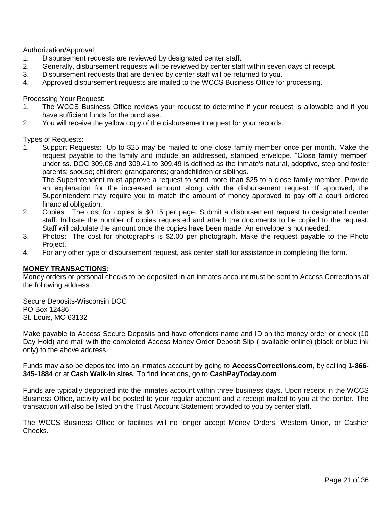Authorization/Approval:

- 1. Disbursement requests are reviewed by designated center staff.
- 2. Generally, disbursement requests will be reviewed by center staff within seven days of receipt.
- 3. Disbursement requests that are denied by center staff will be returned to you.
- 4. Approved disbursement requests are mailed to the WCCS Business Office for processing.

Processing Your Request:

- 1. The WCCS Business Office reviews your request to determine if your request is allowable and if you have sufficient funds for the purchase.
- 2. You will receive the yellow copy of the disbursement request for your records.

Types of Requests:

1. Support Requests: Up to \$25 may be mailed to one close family member once per month. Make the request payable to the family and include an addressed, stamped envelope. "Close family member" under ss. DOC 309.08 and 309.41 to 309.49 is defined as the inmate's natural, adoptive, step and foster parents; spouse; children; grandparents; grandchildren or siblings.

The Superintendent must approve a request to send more than \$25 to a close family member. Provide an explanation for the increased amount along with the disbursement request. If approved, the Superintendent may require you to match the amount of money approved to pay off a court ordered financial obligation.

- 2. Copies: The cost for copies is \$0.15 per page. Submit a disbursement request to designated center staff. Indicate the number of copies requested and attach the documents to be copied to the request. Staff will calculate the amount once the copies have been made. An envelope is not needed.
- 3. Photos: The cost for photographs is \$2.00 per photograph. Make the request payable to the Photo Project.
- 4. For any other type of disbursement request, ask center staff for assistance in completing the form.

#### **MONEY TRANSACTIONS:**

Money orders or personal checks to be deposited in an inmates account must be sent to Access Corrections at the following address:

Secure Deposits-Wisconsin DOC PO Box 12486 St. Louis, MO 63132

Make payable to Access Secure Deposits and have offenders name and ID on the money order or check (10 Day Hold) and mail with the completed Access Money Order Deposit Slip ( available online) (black or blue ink only) to the above address.

Funds may also be deposited into an inmates account by going to **AccessCorrections.com**, by calling **1-866- 345-1884** or at **Cash Walk-In sites**. To find locations, go to **CashPayToday.com**

Funds are typically deposited into the inmates account within three business days. Upon receipt in the WCCS Business Office, activity will be posted to your regular account and a receipt mailed to you at the center. The transaction will also be listed on the Trust Account Statement provided to you by center staff.

The WCCS Business Office or facilities will no longer accept Money Orders, Western Union, or Cashier Checks.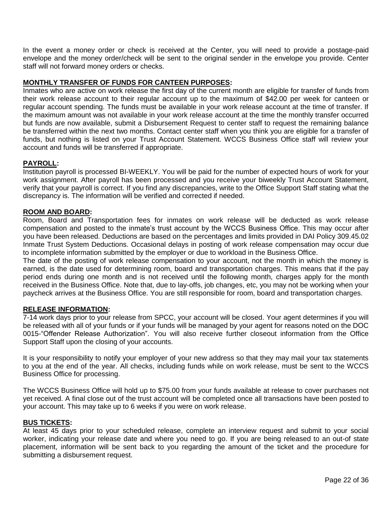In the event a money order or check is received at the Center, you will need to provide a postage-paid envelope and the money order/check will be sent to the original sender in the envelope you provide. Center staff will not forward money orders or checks.

## **MONTHLY TRANSFER OF FUNDS FOR CANTEEN PURPOSES:**

Inmates who are active on work release the first day of the current month are eligible for transfer of funds from their work release account to their regular account up to the maximum of \$42.00 per week for canteen or regular account spending. The funds must be available in your work release account at the time of transfer. If the maximum amount was not available in your work release account at the time the monthly transfer occurred but funds are now available, submit a Disbursement Request to center staff to request the remaining balance be transferred within the next two months. Contact center staff when you think you are eligible for a transfer of funds, but nothing is listed on your Trust Account Statement. WCCS Business Office staff will review your account and funds will be transferred if appropriate.

## **PAYROLL:**

Institution payroll is processed BI-WEEKLY. You will be paid for the number of expected hours of work for your work assignment. After payroll has been processed and you receive your biweekly Trust Account Statement, verify that your payroll is correct. If you find any discrepancies, write to the Office Support Staff stating what the discrepancy is. The information will be verified and corrected if needed.

## **ROOM AND BOARD:**

Room, Board and Transportation fees for inmates on work release will be deducted as work release compensation and posted to the inmate's trust account by the WCCS Business Office. This may occur after you have been released. Deductions are based on the percentages and limits provided in DAI Policy 309.45.02 Inmate Trust System Deductions. Occasional delays in posting of work release compensation may occur due to incomplete information submitted by the employer or due to workload in the Business Office.

The date of the posting of work release compensation to your account, not the month in which the money is earned, is the date used for determining room, board and transportation charges. This means that if the pay period ends during one month and is not received until the following month, charges apply for the month received in the Business Office. Note that, due to lay-offs, job changes, etc, you may not be working when your paycheck arrives at the Business Office. You are still responsible for room, board and transportation charges.

## **RELEASE INFORMATION:**

7-14 work days prior to your release from SPCC, your account will be closed. Your agent determines if you will be released with all of your funds or if your funds will be managed by your agent for reasons noted on the DOC 0015-"Offender Release Authorization". You will also receive further closeout information from the Office Support Staff upon the closing of your accounts.

It is your responsibility to notify your employer of your new address so that they may mail your tax statements to you at the end of the year. All checks, including funds while on work release, must be sent to the WCCS Business Office for processing.

The WCCS Business Office will hold up to \$75.00 from your funds available at release to cover purchases not yet received. A final close out of the trust account will be completed once all transactions have been posted to your account. This may take up to 6 weeks if you were on work release.

## **BUS TICKETS:**

At least 45 days prior to your scheduled release, complete an interview request and submit to your social worker, indicating your release date and where you need to go. If you are being released to an out-of state placement, information will be sent back to you regarding the amount of the ticket and the procedure for submitting a disbursement request.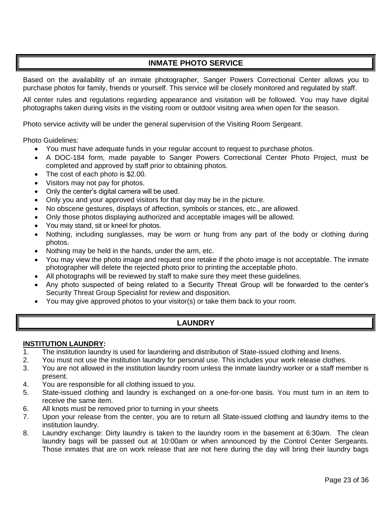# **INMATE PHOTO SERVICE**

<span id="page-22-0"></span>Based on the availability of an inmate photographer, Sanger Powers Correctional Center allows you to purchase photos for family, friends or yourself. This service will be closely monitored and regulated by staff.

All center rules and regulations regarding appearance and visitation will be followed. You may have digital photographs taken during visits in the visiting room or outdoor visiting area when open for the season.

Photo service activity will be under the general supervision of the Visiting Room Sergeant.

Photo Guidelines:

- You must have adequate funds in your regular account to request to purchase photos.
- A DOC-184 form, made payable to Sanger Powers Correctional Center Photo Project, must be completed and approved by staff prior to obtaining photos.
- The cost of each photo is \$2.00.
- Visitors may not pay for photos.
- Only the center's digital camera will be used.
- Only you and your approved visitors for that day may be in the picture.
- No obscene gestures, displays of affection, symbols or stances, etc., are allowed.
- Only those photos displaying authorized and acceptable images will be allowed.
- You may stand, sit or kneel for photos.
- Nothing, including sunglasses, may be worn or hung from any part of the body or clothing during photos.
- Nothing may be held in the hands, under the arm, etc.
- You may view the photo image and request one retake if the photo image is not acceptable. The inmate photographer will delete the rejected photo prior to printing the acceptable photo.
- All photographs will be reviewed by staff to make sure they meet these guidelines.
- Any photo suspected of being related to a Security Threat Group will be forwarded to the center's Security Threat Group Specialist for review and disposition.
- <span id="page-22-1"></span>You may give approved photos to your visitor(s) or take them back to your room.

# **LAUNDRY**

#### **INSTITUTION LAUNDRY:**

- 1. The institution laundry is used for laundering and distribution of State-issued clothing and linens.
- 2. You must not use the institution laundry for personal use. This includes your work release clothes.
- 3. You are not allowed in the institution laundry room unless the inmate laundry worker or a staff member is present.
- 4. You are responsible for all clothing issued to you.
- 5. State-issued clothing and laundry is exchanged on a one-for-one basis. You must turn in an item to receive the same item.
- 6. All knots must be removed prior to turning in your sheets
- 7. Upon your release from the center, you are to return all State-issued clothing and laundry items to the institution laundry.
- 8. Laundry exchange: Dirty laundry is taken to the laundry room in the basement at 6:30am. The clean laundry bags will be passed out at 10:00am or when announced by the Control Center Sergeants. Those inmates that are on work release that are not here during the day will bring their laundry bags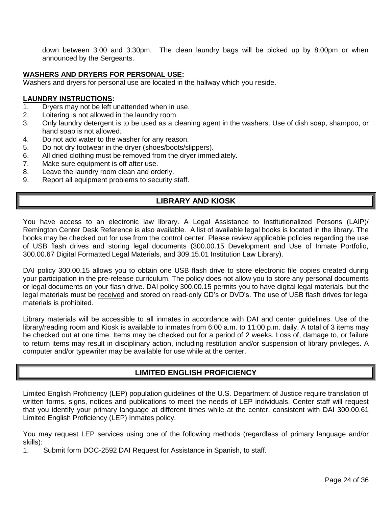down between 3:00 and 3:30pm. The clean laundry bags will be picked up by 8:00pm or when announced by the Sergeants.

#### **WASHERS AND DRYERS FOR PERSONAL USE:**

Washers and dryers for personal use are located in the hallway which you reside.

#### **LAUNDRY INSTRUCTIONS:**

- 1. Dryers may not be left unattended when in use.
- 2. Loitering is not allowed in the laundry room.
- 3. Only laundry detergent is to be used as a cleaning agent in the washers. Use of dish soap, shampoo, or hand soap is not allowed.
- 4. Do not add water to the washer for any reason.
- 5. Do not dry footwear in the dryer (shoes/boots/slippers).
- 6. All dried clothing must be removed from the dryer immediately.
- 7. Make sure equipment is off after use.
- 8. Leave the laundry room clean and orderly.
- <span id="page-23-0"></span>9. Report all equipment problems to security staff.

# **LIBRARY AND KIOSK**

You have access to an electronic law library. A Legal Assistance to Institutionalized Persons (LAIP)/ Remington Center Desk Reference is also available. A list of available legal books is located in the library. The books may be checked out for use from the control center. Please review applicable policies regarding the use of USB flash drives and storing legal documents (300.00.15 Development and Use of Inmate Portfolio, 300.00.67 Digital Formatted Legal Materials, and 309.15.01 Institution Law Library).

DAI policy 300.00.15 allows you to obtain one USB flash drive to store electronic file copies created during your participation in the pre-release curriculum. The policy does not allow you to store any personal documents or legal documents on your flash drive. DAI policy 300.00.15 permits you to have digital legal materials, but the legal materials must be received and stored on read-only CD's or DVD's. The use of USB flash drives for legal materials is prohibited.

Library materials will be accessible to all inmates in accordance with DAI and center guidelines. Use of the library/reading room and Kiosk is available to inmates from 6:00 a.m. to 11:00 p.m. daily. A total of 3 items may be checked out at one time. Items may be checked out for a period of 2 weeks. Loss of, damage to, or failure to return items may result in disciplinary action, including restitution and/or suspension of library privileges. A computer and/or typewriter may be available for use while at the center.

# **LIMITED ENGLISH PROFICIENCY**

<span id="page-23-1"></span>Limited English Proficiency (LEP) population guidelines of the U.S. Department of Justice require translation of written forms, signs, notices and publications to meet the needs of LEP individuals. Center staff will request that you identify your primary language at different times while at the center, consistent with DAI 300.00.61 Limited English Proficiency (LEP) Inmates policy.

You may request LEP services using one of the following methods (regardless of primary language and/or skills):

1. Submit form DOC-2592 DAI Request for Assistance in Spanish, to staff.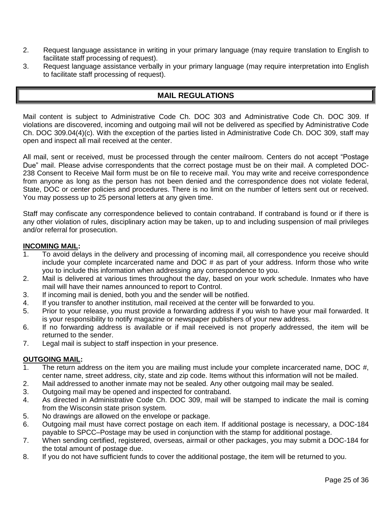- 2. Request language assistance in writing in your primary language (may require translation to English to facilitate staff processing of request).
- <span id="page-24-0"></span>3. Request language assistance verbally in your primary language (may require interpretation into English to facilitate staff processing of request).

# **MAIL REGULATIONS**

Mail content is subject to Administrative Code Ch. DOC 303 and Administrative Code Ch. DOC 309. If violations are discovered, incoming and outgoing mail will not be delivered as specified by Administrative Code Ch. DOC 309.04(4)(c). With the exception of the parties listed in Administrative Code Ch. DOC 309, staff may open and inspect all mail received at the center.

All mail, sent or received, must be processed through the center mailroom. Centers do not accept "Postage Due" mail. Please advise correspondents that the correct postage must be on their mail. A completed DOC-238 Consent to Receive Mail form must be on file to receive mail. You may write and receive correspondence from anyone as long as the person has not been denied and the correspondence does not violate federal, State, DOC or center policies and procedures. There is no limit on the number of letters sent out or received. You may possess up to 25 personal letters at any given time.

Staff may confiscate any correspondence believed to contain contraband. If contraband is found or if there is any other violation of rules, disciplinary action may be taken, up to and including suspension of mail privileges and/or referral for prosecution.

## **INCOMING MAIL:**

- 1. To avoid delays in the delivery and processing of incoming mail, all correspondence you receive should include your complete incarcerated name and DOC # as part of your address. Inform those who write you to include this information when addressing any correspondence to you.
- 2. Mail is delivered at various times throughout the day, based on your work schedule. Inmates who have mail will have their names announced to report to Control.
- 3. If incoming mail is denied, both you and the sender will be notified.
- 4. If you transfer to another institution, mail received at the center will be forwarded to you.
- 5. Prior to your release, you must provide a forwarding address if you wish to have your mail forwarded. It is your responsibility to notify magazine or newspaper publishers of your new address.
- 6. If no forwarding address is available or if mail received is not properly addressed, the item will be returned to the sender.
- 7. Legal mail is subject to staff inspection in your presence.

## **OUTGOING MAIL:**

- 1. The return address on the item you are mailing must include your complete incarcerated name, DOC #, center name, street address, city, state and zip code. Items without this information will not be mailed.
- 2. Mail addressed to another inmate may not be sealed. Any other outgoing mail may be sealed.
- 3. Outgoing mail may be opened and inspected for contraband.
- 4. As directed in Administrative Code Ch. DOC 309, mail will be stamped to indicate the mail is coming from the Wisconsin state prison system.
- 5. No drawings are allowed on the envelope or package.
- 6. Outgoing mail must have correct postage on each item. If additional postage is necessary, a DOC-184 payable to SPCC–Postage may be used in conjunction with the stamp for additional postage.
- 7. When sending certified, registered, overseas, airmail or other packages, you may submit a DOC-184 for the total amount of postage due.
- 8. If you do not have sufficient funds to cover the additional postage, the item will be returned to you.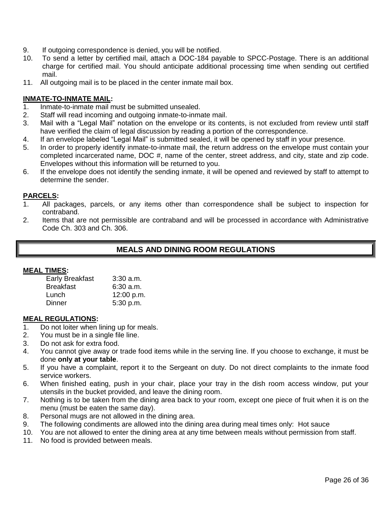- 9. If outgoing correspondence is denied, you will be notified.
- 10. To send a letter by certified mail, attach a DOC-184 payable to SPCC-Postage. There is an additional charge for certified mail. You should anticipate additional processing time when sending out certified mail.
- 11. All outgoing mail is to be placed in the center inmate mail box.

#### **INMATE-TO-INMATE MAIL:**

- 1. Inmate-to-inmate mail must be submitted unsealed.
- 2. Staff will read incoming and outgoing inmate-to-inmate mail.
- 3. Mail with a "Legal Mail" notation on the envelope or its contents, is not excluded from review until staff have verified the claim of legal discussion by reading a portion of the correspondence.
- 4. If an envelope labeled "Legal Mail" is submitted sealed, it will be opened by staff in your presence.
- 5. In order to properly identify inmate-to-inmate mail, the return address on the envelope must contain your completed incarcerated name, DOC #, name of the center, street address, and city, state and zip code. Envelopes without this information will be returned to you.
- 6. If the envelope does not identify the sending inmate, it will be opened and reviewed by staff to attempt to determine the sender.

#### **PARCELS:**

- 1. All packages, parcels, or any items other than correspondence shall be subject to inspection for contraband.
- <span id="page-25-0"></span>2. Items that are not permissible are contraband and will be processed in accordance with Administrative Code Ch. 303 and Ch. 306.

# **MEALS AND DINING ROOM REGULATIONS**

#### **MEAL TIMES:**

| <b>Early Breakfast</b> | $3:30$ a.m. |
|------------------------|-------------|
| <b>Breakfast</b>       | $6:30$ a.m. |
| Lunch                  | 12:00 p.m.  |
| Dinner                 | 5:30 p.m.   |

#### **MEAL REGULATIONS:**

- 1. Do not loiter when lining up for meals.
- 2. You must be in a single file line.
- 3. Do not ask for extra food.
- 4. You cannot give away or trade food items while in the serving line. If you choose to exchange, it must be done **only at your table**.
- 5. If you have a complaint, report it to the Sergeant on duty. Do not direct complaints to the inmate food service workers.
- 6. When finished eating, push in your chair, place your tray in the dish room access window, put your utensils in the bucket provided, and leave the dining room.
- 7. Nothing is to be taken from the dining area back to your room, except one piece of fruit when it is on the menu (must be eaten the same day).
- 8. Personal mugs are not allowed in the dining area.
- 9. The following condiments are allowed into the dining area during meal times only: Hot sauce
- 10. You are not allowed to enter the dining area at any time between meals without permission from staff.
- 11. No food is provided between meals.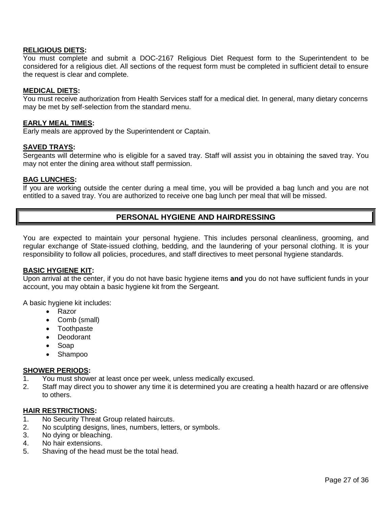#### **RELIGIOUS DIETS:**

You must complete and submit a DOC-2167 Religious Diet Request form to the Superintendent to be considered for a religious diet. All sections of the request form must be completed in sufficient detail to ensure the request is clear and complete.

#### **MEDICAL DIETS:**

You must receive authorization from Health Services staff for a medical diet. In general, many dietary concerns may be met by self-selection from the standard menu.

#### **EARLY MEAL TIMES:**

Early meals are approved by the Superintendent or Captain.

#### **SAVED TRAYS:**

Sergeants will determine who is eligible for a saved tray. Staff will assist you in obtaining the saved tray. You may not enter the dining area without staff permission.

#### **BAG LUNCHES:**

<span id="page-26-0"></span>If you are working outside the center during a meal time, you will be provided a bag lunch and you are not entitled to a saved tray. You are authorized to receive one bag lunch per meal that will be missed.

# **PERSONAL HYGIENE AND HAIRDRESSING**

You are expected to maintain your personal hygiene. This includes personal cleanliness, grooming, and regular exchange of State-issued clothing, bedding, and the laundering of your personal clothing. It is your responsibility to follow all policies, procedures, and staff directives to meet personal hygiene standards.

## **BASIC HYGIENE KIT:**

Upon arrival at the center, if you do not have basic hygiene items **and** you do not have sufficient funds in your account, you may obtain a basic hygiene kit from the Sergeant.

A basic hygiene kit includes:

- Razor
- Comb (small)
- Toothpaste
- Deodorant
- Soap
- Shampoo

#### **SHOWER PERIODS:**

- 1. You must shower at least once per week, unless medically excused.
- 2. Staff may direct you to shower any time it is determined you are creating a health hazard or are offensive to others.

#### **HAIR RESTRICTIONS:**

- 1. No Security Threat Group related haircuts.
- 2. No sculpting designs, lines, numbers, letters, or symbols.
- 3. No dying or bleaching.
- 4. No hair extensions.
- 5. Shaving of the head must be the total head.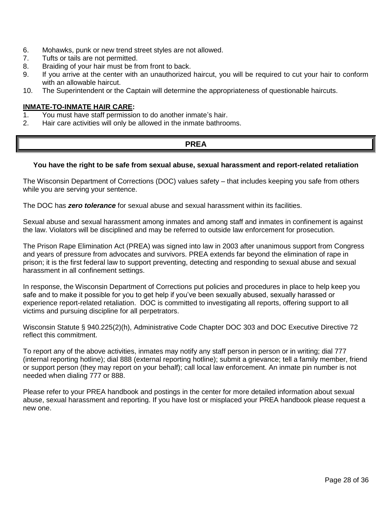- 6. Mohawks, punk or new trend street styles are not allowed.
- 7. Tufts or tails are not permitted.
- 8. Braiding of your hair must be from front to back.
- 9. If you arrive at the center with an unauthorized haircut, you will be required to cut your hair to conform with an allowable haircut.
- 10. The Superintendent or the Captain will determine the appropriateness of questionable haircuts.

#### **INMATE-TO-INMATE HAIR CARE:**

- 1. You must have staff permission to do another inmate's hair.
- <span id="page-27-0"></span>2. Hair care activities will only be allowed in the inmate bathrooms.

# **PREA**

#### **You have the right to be safe from sexual abuse, sexual harassment and report-related retaliation**

The Wisconsin Department of Corrections (DOC) values safety – that includes keeping you safe from others while you are serving your sentence.

The DOC has *zero tolerance* for sexual abuse and sexual harassment within its facilities.

Sexual abuse and sexual harassment among inmates and among staff and inmates in confinement is against the law. Violators will be disciplined and may be referred to outside law enforcement for prosecution.

The Prison Rape Elimination Act (PREA) was signed into law in 2003 after unanimous support from Congress and years of pressure from advocates and survivors. PREA extends far beyond the elimination of rape in prison; it is the first federal law to support preventing, detecting and responding to sexual abuse and sexual harassment in all confinement settings.

In response, the Wisconsin Department of Corrections put policies and procedures in place to help keep you safe and to make it possible for you to get help if you've been sexually abused, sexually harassed or experience report-related retaliation. DOC is committed to investigating all reports, offering support to all victims and pursuing discipline for all perpetrators.

Wisconsin Statute § 940.225(2)(h), Administrative Code Chapter DOC 303 and DOC Executive Directive 72 reflect this commitment.

To report any of the above activities, inmates may notify any staff person in person or in writing; dial 777 (internal reporting hotline); dial 888 (external reporting hotline); submit a grievance; tell a family member, friend or support person (they may report on your behalf); call local law enforcement. An inmate pin number is not needed when dialing 777 or 888.

Please refer to your PREA handbook and postings in the center for more detailed information about sexual abuse, sexual harassment and reporting. If you have lost or misplaced your PREA handbook please request a new one.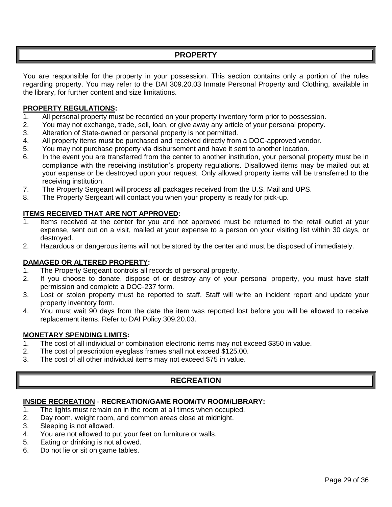# **PROPERTY**

<span id="page-28-0"></span>You are responsible for the property in your possession. This section contains only a portion of the rules regarding property. You may refer to the DAI 309.20.03 Inmate Personal Property and Clothing, available in the library, for further content and size limitations.

## **PROPERTY REGULATIONS:**

- 1. All personal property must be recorded on your property inventory form prior to possession.
- 2. You may not exchange, trade, sell, loan, or give away any article of your personal property.
- 3. Alteration of State-owned or personal property is not permitted.
- 4. All property items must be purchased and received directly from a DOC-approved vendor.
- 5. You may not purchase property via disbursement and have it sent to another location.
- 6. In the event you are transferred from the center to another institution, your personal property must be in compliance with the receiving institution's property regulations. Disallowed items may be mailed out at your expense or be destroyed upon your request. Only allowed property items will be transferred to the receiving institution.
- 7. The Property Sergeant will process all packages received from the U.S. Mail and UPS.
- 8. The Property Sergeant will contact you when your property is ready for pick-up.

# **ITEMS RECEIVED THAT ARE NOT APPROVED:**

- 1. Items received at the center for you and not approved must be returned to the retail outlet at your expense, sent out on a visit, mailed at your expense to a person on your visiting list within 30 days, or destroyed.
- 2. Hazardous or dangerous items will not be stored by the center and must be disposed of immediately.

## **DAMAGED OR ALTERED PROPERTY:**

- 1. The Property Sergeant controls all records of personal property.
- 2. If you choose to donate, dispose of or destroy any of your personal property, you must have staff permission and complete a DOC-237 form.
- 3. Lost or stolen property must be reported to staff. Staff will write an incident report and update your property inventory form.
- 4. You must wait 90 days from the date the item was reported lost before you will be allowed to receive replacement items. Refer to DAI Policy 309.20.03.

## **MONETARY SPENDING LIMITS:**

- 1. The cost of all individual or combination electronic items may not exceed \$350 in value.
- 2. The cost of prescription eyeglass frames shall not exceed \$125.00.
- <span id="page-28-1"></span>3. The cost of all other individual items may not exceed \$75 in value.

# **RECREATION**

## **INSIDE RECREATION** - **RECREATION/GAME ROOM/TV ROOM/LIBRARY:**

- 1. The lights must remain on in the room at all times when occupied.
- 2. Day room, weight room, and common areas close at midnight.
- 3. Sleeping is not allowed.
- 4. You are not allowed to put your feet on furniture or walls.
- 5. Eating or drinking is not allowed.
- 6. Do not lie or sit on game tables.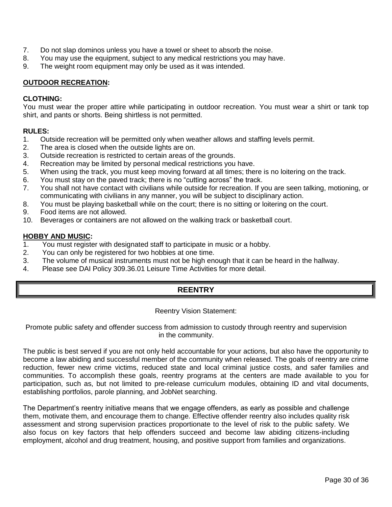- 7. Do not slap dominos unless you have a towel or sheet to absorb the noise.
- 8. You may use the equipment, subject to any medical restrictions you may have.
- 9. The weight room equipment may only be used as it was intended.

## **OUTDOOR RECREATION:**

## **CLOTHING:**

You must wear the proper attire while participating in outdoor recreation. You must wear a shirt or tank top shirt, and pants or shorts. Being shirtless is not permitted.

#### **RULES:**

- 1. Outside recreation will be permitted only when weather allows and staffing levels permit.
- 2. The area is closed when the outside lights are on.
- 3. Outside recreation is restricted to certain areas of the grounds.
- 4. Recreation may be limited by personal medical restrictions you have.
- 5. When using the track, you must keep moving forward at all times; there is no loitering on the track.
- 6. You must stay on the paved track; there is no "cutting across" the track.
- 7. You shall not have contact with civilians while outside for recreation. If you are seen talking, motioning, or communicating with civilians in any manner, you will be subject to disciplinary action.
- 8. You must be playing basketball while on the court; there is no sitting or loitering on the court.
- 9. Food items are not allowed.
- 10. Beverages or containers are not allowed on the walking track or basketball court.

#### **HOBBY AND MUSIC:**

- 1. You must register with designated staff to participate in music or a hobby.
- 2. You can only be registered for two hobbies at one time.
- 3. The volume of musical instruments must not be high enough that it can be heard in the hallway.
- <span id="page-29-0"></span>4. Please see DAI Policy 309.36.01 Leisure Time Activities for more detail.

# **REENTRY**

#### Reentry Vision Statement:

#### Promote public safety and offender success from admission to custody through reentry and supervision in the community.

The public is best served if you are not only held accountable for your actions, but also have the opportunity to become a law abiding and successful member of the community when released. The goals of reentry are crime reduction, fewer new crime victims, reduced state and local criminal justice costs, and safer families and communities. To accomplish these goals, reentry programs at the centers are made available to you for participation, such as, but not limited to pre-release curriculum modules, obtaining ID and vital documents, establishing portfolios, parole planning, and JobNet searching.

The Department's reentry initiative means that we engage offenders, as early as possible and challenge them, motivate them, and encourage them to change. Effective offender reentry also includes quality risk assessment and strong supervision practices proportionate to the level of risk to the public safety. We also focus on key factors that help offenders succeed and become law abiding citizens-including employment, alcohol and drug treatment, housing, and positive support from families and organizations.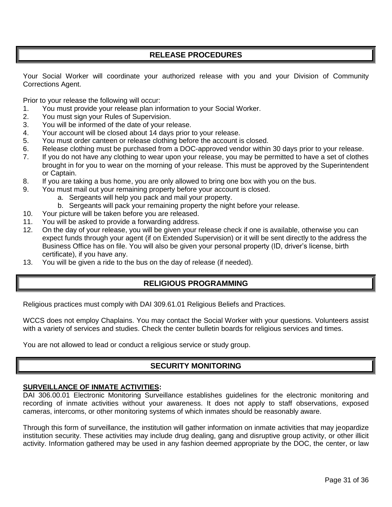# **RELEASE PROCEDURES**

<span id="page-30-0"></span>Your Social Worker will coordinate your authorized release with you and your Division of Community Corrections Agent.

Prior to your release the following will occur:

- 1. You must provide your release plan information to your Social Worker.
- 2. You must sign your Rules of Supervision.
- 3. You will be informed of the date of your release.
- 4. Your account will be closed about 14 days prior to your release.
- 5. You must order canteen or release clothing before the account is closed.
- 6. Release clothing must be purchased from a DOC-approved vendor within 30 days prior to your release.
- 7. If you do not have any clothing to wear upon your release, you may be permitted to have a set of clothes brought in for you to wear on the morning of your release. This must be approved by the Superintendent or Captain.
- 8. If you are taking a bus home, you are only allowed to bring one box with you on the bus.
- 9. You must mail out your remaining property before your account is closed.
	- a. Sergeants will help you pack and mail your property.
	- b. Sergeants will pack your remaining property the night before your release.
- 10. Your picture will be taken before you are released.
- 11. You will be asked to provide a forwarding address.
- 12. On the day of your release, you will be given your release check if one is available, otherwise you can expect funds through your agent (if on Extended Supervision) or it will be sent directly to the address the Business Office has on file. You will also be given your personal property (ID, driver's license, birth certificate), if you have any.
- <span id="page-30-1"></span>13. You will be given a ride to the bus on the day of release (if needed).

# **RELIGIOUS PROGRAMMING**

Religious practices must comply with DAI 309.61.01 Religious Beliefs and Practices.

WCCS does not employ Chaplains. You may contact the Social Worker with your questions. Volunteers assist with a variety of services and studies. Check the center bulletin boards for religious services and times.

<span id="page-30-2"></span>You are not allowed to lead or conduct a religious service or study group.

# **SECURITY MONITORING**

#### **SURVEILLANCE OF INMATE ACTIVITIES:**

DAI 306.00.01 Electronic Monitoring Surveillance establishes guidelines for the electronic monitoring and recording of inmate activities without your awareness. It does not apply to staff observations, exposed cameras, intercoms, or other monitoring systems of which inmates should be reasonably aware.

Through this form of surveillance, the institution will gather information on inmate activities that may jeopardize institution security. These activities may include drug dealing, gang and disruptive group activity, or other illicit activity. Information gathered may be used in any fashion deemed appropriate by the DOC, the center, or law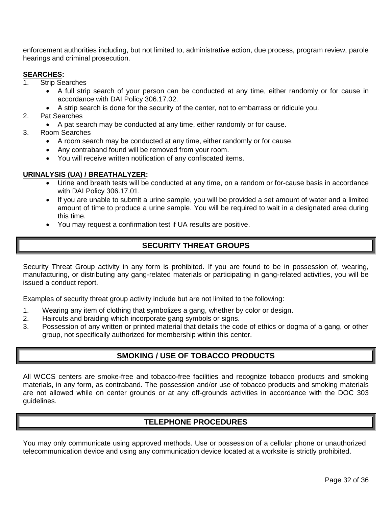enforcement authorities including, but not limited to, administrative action, due process, program review, parole hearings and criminal prosecution.

#### **SEARCHES:**

- 1. Strip Searches
	- A full strip search of your person can be conducted at any time, either randomly or for cause in accordance with DAI Policy 306.17.02.
	- A strip search is done for the security of the center, not to embarrass or ridicule you.
- 2. Pat Searches
	- A pat search may be conducted at any time, either randomly or for cause.
- 3. Room Searches
	- A room search may be conducted at any time, either randomly or for cause.
	- Any contraband found will be removed from your room.
	- You will receive written notification of any confiscated items.

#### **URINALYSIS (UA) / BREATHALYZER:**

- Urine and breath tests will be conducted at any time, on a random or for-cause basis in accordance with DAI Policy 306.17.01.
- If you are unable to submit a urine sample, you will be provided a set amount of water and a limited amount of time to produce a urine sample. You will be required to wait in a designated area during this time.
- You may request a confirmation test if UA results are positive.

# **SECURITY THREAT GROUPS**

<span id="page-31-0"></span>Security Threat Group activity in any form is prohibited. If you are found to be in possession of, wearing, manufacturing, or distributing any gang-related materials or participating in gang-related activities, you will be issued a conduct report.

Examples of security threat group activity include but are not limited to the following:

- 1. Wearing any item of clothing that symbolizes a gang, whether by color or design.
- 2. Haircuts and braiding which incorporate gang symbols or signs.
- <span id="page-31-1"></span>3. Possession of any written or printed material that details the code of ethics or dogma of a gang, or other group, not specifically authorized for membership within this center.

# **SMOKING / USE OF TOBACCO PRODUCTS**

All WCCS centers are smoke-free and tobacco-free facilities and recognize tobacco products and smoking materials, in any form, as contraband. The possession and/or use of tobacco products and smoking materials are not allowed while on center grounds or at any off-grounds activities in accordance with the DOC 303 guidelines.

# **TELEPHONE PROCEDURES**

<span id="page-31-2"></span>You may only communicate using approved methods. Use or possession of a cellular phone or unauthorized telecommunication device and using any communication device located at a worksite is strictly prohibited.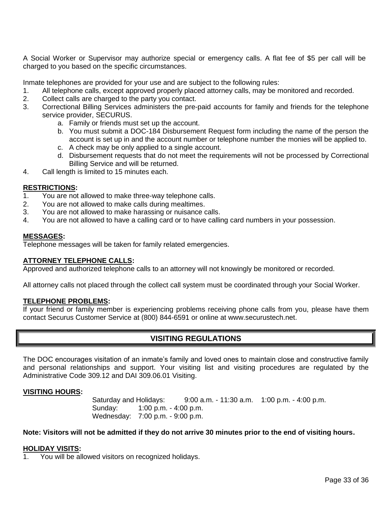A Social Worker or Supervisor may authorize special or emergency calls. A flat fee of \$5 per call will be charged to you based on the specific circumstances.

Inmate telephones are provided for your use and are subject to the following rules:

- 1. All telephone calls, except approved properly placed attorney calls, may be monitored and recorded.
- 2. Collect calls are charged to the party you contact.
- 3. Correctional Billing Services administers the pre-paid accounts for family and friends for the telephone service provider, SECURUS.
	- a. Family or friends must set up the account.
	- b. You must submit a DOC-184 Disbursement Request form including the name of the person the account is set up in and the account number or telephone number the monies will be applied to.
	- c. A check may be only applied to a single account.
	- d. Disbursement requests that do not meet the requirements will not be processed by Correctional Billing Service and will be returned.
- 4. Call length is limited to 15 minutes each.

#### **RESTRICTIONS:**

- 1. You are not allowed to make three-way telephone calls.
- 2. You are not allowed to make calls during mealtimes.
- 3. You are not allowed to make harassing or nuisance calls.
- 4. You are not allowed to have a calling card or to have calling card numbers in your possession.

#### **MESSAGES:**

Telephone messages will be taken for family related emergencies.

#### **ATTORNEY TELEPHONE CALLS:**

Approved and authorized telephone calls to an attorney will not knowingly be monitored or recorded.

All attorney calls not placed through the collect call system must be coordinated through your Social Worker.

#### **TELEPHONE PROBLEMS:**

<span id="page-32-0"></span>If your friend or family member is experiencing problems receiving phone calls from you, please have them contact Securus Customer Service at (800) 844-6591 or online at www.securustech.net.

# **VISITING REGULATIONS**

The DOC encourages visitation of an inmate's family and loved ones to maintain close and constructive family and personal relationships and support. Your visiting list and visiting procedures are regulated by the Administrative Code 309.12 and DAI 309.06.01 Visiting.

#### **VISITING HOURS:**

Saturday and Holidays: 9:00 a.m. - 11:30 a.m. 1:00 p.m. - 4:00 p.m. Sunday: 1:00 p.m. - 4:00 p.m. Wednesday: 7:00 p.m. - 9:00 p.m.

#### **Note: Visitors will not be admitted if they do not arrive 30 minutes prior to the end of visiting hours.**

#### **HOLIDAY VISITS:**

You will be allowed visitors on recognized holidays.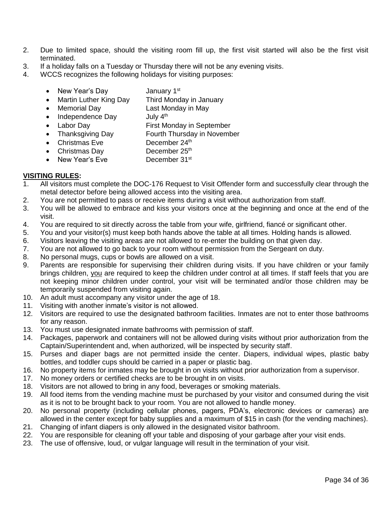- 2. Due to limited space, should the visiting room fill up, the first visit started will also be the first visit terminated.
- 3. If a holiday falls on a Tuesday or Thursday there will not be any evening visits.
- 4. WCCS recognizes the following holidays for visiting purposes:
	- New Year's Day **January 1st**
	- Martin Luther King Day Third Monday in January
	- Memorial Day Last Monday in May
	- $\bullet$  Independence Day July  $4<sup>th</sup>$
	- Labor Day First Monday in September
	- Thanksgiving Day Fourth Thursday in November
	- Christmas Eve December 24<sup>th</sup>
	- $\bullet$  Christmas Day December 25th
	- New Year's Eve December 31<sup>st</sup>

## **VISITING RULES:**

- 1. All visitors must complete the DOC-176 Request to Visit Offender form and successfully clear through the metal detector before being allowed access into the visiting area.
- 2. You are not permitted to pass or receive items during a visit without authorization from staff.
- 3. You will be allowed to embrace and kiss your visitors once at the beginning and once at the end of the visit.
- 4. You are required to sit directly across the table from your wife, girlfriend, fiancé or significant other.
- 5. You and your visitor(s) must keep both hands above the table at all times. Holding hands is allowed.
- 6. Visitors leaving the visiting areas are not allowed to re-enter the building on that given day.
- 7. You are not allowed to go back to your room without permission from the Sergeant on duty.
- 8. No personal mugs, cups or bowls are allowed on a visit.
- 9. Parents are responsible for supervising their children during visits. If you have children or your family brings children, you are required to keep the children under control at all times. If staff feels that you are not keeping minor children under control, your visit will be terminated and/or those children may be temporarily suspended from visiting again.
- 10. An adult must accompany any visitor under the age of 18.
- 11. Visiting with another inmate's visitor is not allowed.
- 12. Visitors are required to use the designated bathroom facilities. Inmates are not to enter those bathrooms for any reason.
- 13. You must use designated inmate bathrooms with permission of staff.
- 14. Packages, paperwork and containers will not be allowed during visits without prior authorization from the Captain/Superintendent and, when authorized, will be inspected by security staff.
- 15. Purses and diaper bags are not permitted inside the center. Diapers, individual wipes, plastic baby bottles, and toddler cups should be carried in a paper or plastic bag.
- 16. No property items for inmates may be brought in on visits without prior authorization from a supervisor.
- 17. No money orders or certified checks are to be brought in on visits.
- 18. Visitors are not allowed to bring in any food, beverages or smoking materials.
- 19. All food items from the vending machine must be purchased by your visitor and consumed during the visit as it is not to be brought back to your room. You are not allowed to handle money.
- 20. No personal property (including cellular phones, pagers, PDA's, electronic devices or cameras) are allowed in the center except for baby supplies and a maximum of \$15 in cash (for the vending machines).
- 21. Changing of infant diapers is only allowed in the designated visitor bathroom.
- 22. You are responsible for cleaning off your table and disposing of your garbage after your visit ends.
- 23. The use of offensive, loud, or vulgar language will result in the termination of your visit.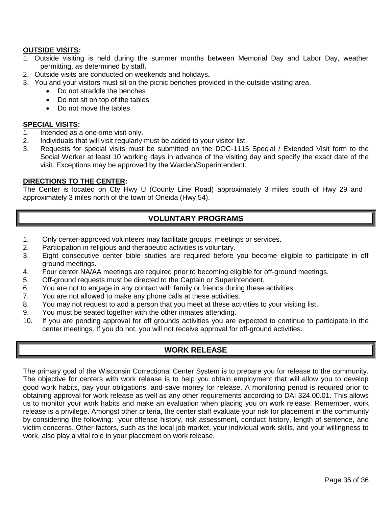## **OUTSIDE VISITS:**

- 1. Outside visiting is held during the summer months between Memorial Day and Labor Day, weather permitting, as determined by staff.
- 2. Outside visits are conducted on weekends and holidays**.**
- 3. You and your visitors must sit on the picnic benches provided in the outside visiting area.
	- Do not straddle the benches
	- Do not sit on top of the tables
	- Do not move the tables

#### **SPECIAL VISITS:**

- 1. Intended as a one-time visit only.
- 2. Individuals that will visit regularly must be added to your visitor list.
- 3. Requests for special visits must be submitted on the DOC-1115 Special / Extended Visit form to the Social Worker at least 10 working days in advance of the visiting day and specify the exact date of the visit. Exceptions may be approved by the Warden/Superintendent.

#### **DIRECTIONS TO THE CENTER:**

<span id="page-34-0"></span>The Center is located on Cty Hwy U (County Line Road) approximately 3 miles south of Hwy 29 and approximately 3 miles north of the town of Oneida (Hwy 54).

# **VOLUNTARY PROGRAMS**

- 1. Only center-approved volunteers may facilitate groups, meetings or services.
- 2. Participation in religious and therapeutic activities is voluntary.
- 3. Eight consecutive center bible studies are required before you become eligible to participate in off ground meetings.
- 4. Four center NA/AA meetings are required prior to becoming eligible for off-ground meetings.
- 5. Off-ground requests must be directed to the Captain or Superintendent.
- 6. You are not to engage in any contact with family or friends during these activities.
- 7. You are not allowed to make any phone calls at these activities.
- 8. You may not request to add a person that you meet at these activities to your visiting list.
- 9. You must be seated together with the other inmates attending.
- <span id="page-34-1"></span>10. If you are pending approval for off grounds activities you are expected to continue to participate in the center meetings. If you do not, you will not receive approval for off-ground activities.

# **WORK RELEASE**

The primary goal of the Wisconsin Correctional Center System is to prepare you for release to the community. The objective for centers with work release is to help you obtain employment that will allow you to develop good work habits, pay your obligations, and save money for release. A monitoring period is required prior to obtaining approval for work release as well as any other requirements according to DAI 324.00.01. This allows us to monitor your work habits and make an evaluation when placing you on work release. Remember, work release is a privilege. Amongst other criteria, the center staff evaluate your risk for placement in the community by considering the following: your offense history, risk assessment, conduct history, length of sentence, and victim concerns. Other factors, such as the local job market, your individual work skills, and your willingness to work, also play a vital role in your placement on work release.